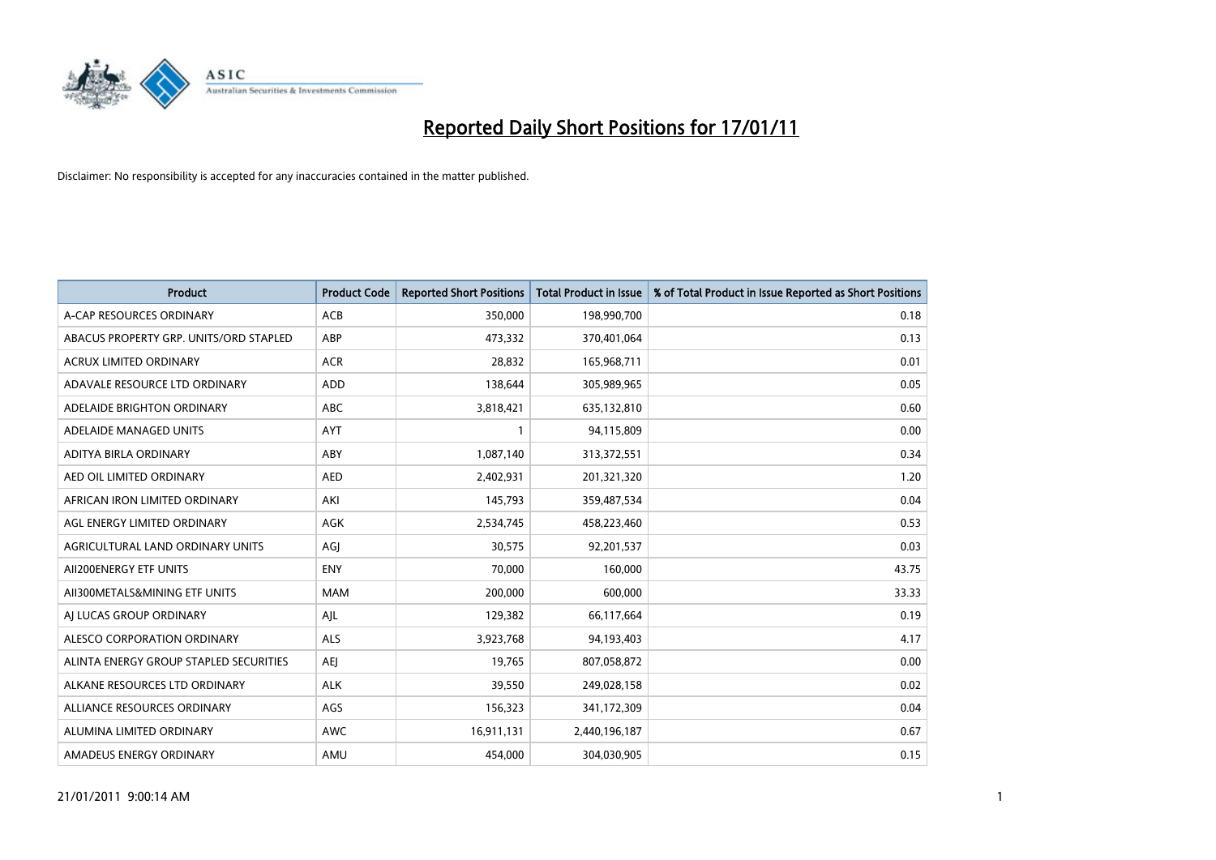

| <b>Product</b>                         | <b>Product Code</b> | <b>Reported Short Positions</b> | Total Product in Issue | % of Total Product in Issue Reported as Short Positions |
|----------------------------------------|---------------------|---------------------------------|------------------------|---------------------------------------------------------|
| A-CAP RESOURCES ORDINARY               | ACB                 | 350,000                         | 198,990,700            | 0.18                                                    |
| ABACUS PROPERTY GRP. UNITS/ORD STAPLED | ABP                 | 473,332                         | 370,401,064            | 0.13                                                    |
| <b>ACRUX LIMITED ORDINARY</b>          | <b>ACR</b>          | 28,832                          | 165,968,711            | 0.01                                                    |
| ADAVALE RESOURCE LTD ORDINARY          | <b>ADD</b>          | 138,644                         | 305,989,965            | 0.05                                                    |
| ADELAIDE BRIGHTON ORDINARY             | <b>ABC</b>          | 3,818,421                       | 635,132,810            | 0.60                                                    |
| ADELAIDE MANAGED UNITS                 | AYT                 |                                 | 94,115,809             | 0.00                                                    |
| ADITYA BIRLA ORDINARY                  | ABY                 | 1,087,140                       | 313,372,551            | 0.34                                                    |
| AED OIL LIMITED ORDINARY               | <b>AED</b>          | 2,402,931                       | 201,321,320            | 1.20                                                    |
| AFRICAN IRON LIMITED ORDINARY          | AKI                 | 145,793                         | 359,487,534            | 0.04                                                    |
| AGL ENERGY LIMITED ORDINARY            | <b>AGK</b>          | 2,534,745                       | 458,223,460            | 0.53                                                    |
| AGRICULTURAL LAND ORDINARY UNITS       | AGJ                 | 30,575                          | 92,201,537             | 0.03                                                    |
| AII200ENERGY ETF UNITS                 | <b>ENY</b>          | 70,000                          | 160,000                | 43.75                                                   |
| AII300METALS&MINING ETF UNITS          | <b>MAM</b>          | 200,000                         | 600,000                | 33.33                                                   |
| AI LUCAS GROUP ORDINARY                | AJL                 | 129,382                         | 66,117,664             | 0.19                                                    |
| ALESCO CORPORATION ORDINARY            | <b>ALS</b>          | 3,923,768                       | 94,193,403             | 4.17                                                    |
| ALINTA ENERGY GROUP STAPLED SECURITIES | <b>AEI</b>          | 19,765                          | 807,058,872            | 0.00                                                    |
| ALKANE RESOURCES LTD ORDINARY          | <b>ALK</b>          | 39,550                          | 249,028,158            | 0.02                                                    |
| ALLIANCE RESOURCES ORDINARY            | AGS                 | 156,323                         | 341,172,309            | 0.04                                                    |
| ALUMINA LIMITED ORDINARY               | <b>AWC</b>          | 16,911,131                      | 2,440,196,187          | 0.67                                                    |
| AMADEUS ENERGY ORDINARY                | AMU                 | 454,000                         | 304,030,905            | 0.15                                                    |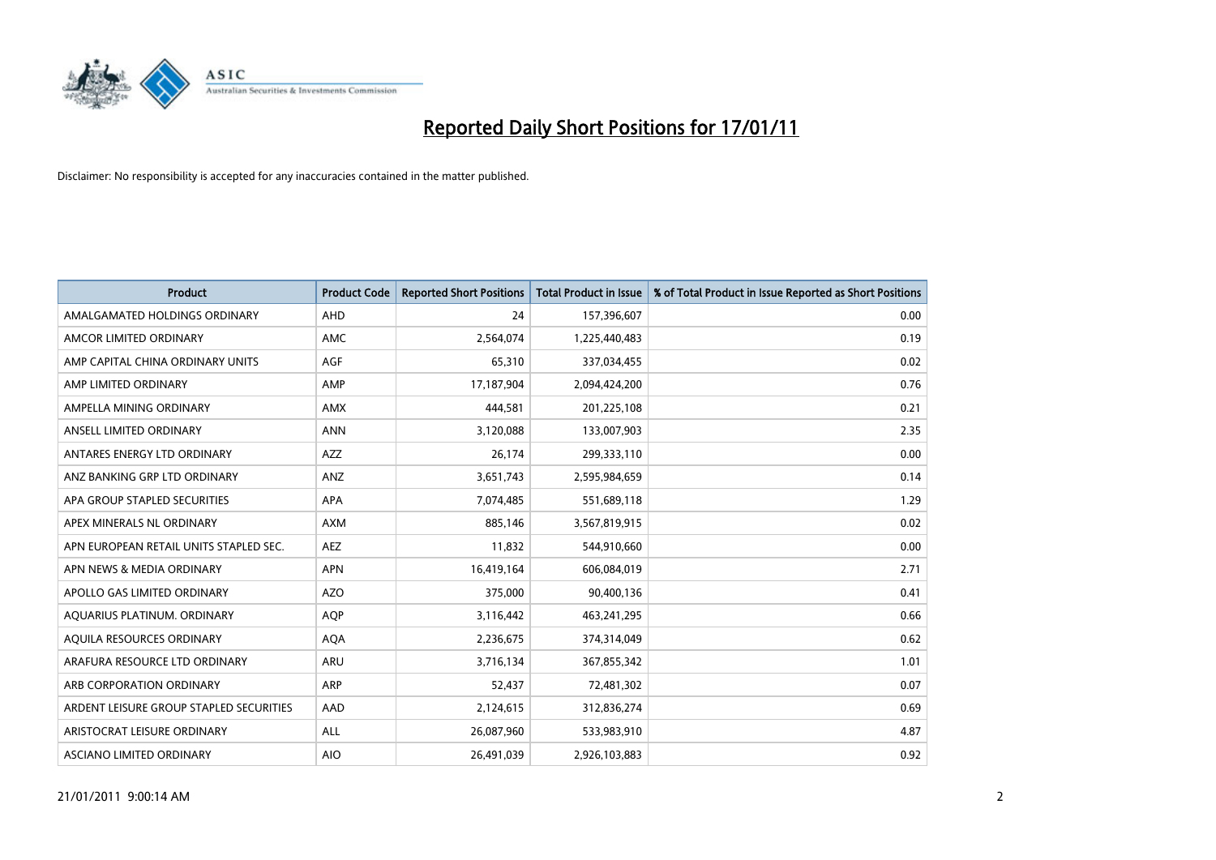

| Product                                 | <b>Product Code</b> | <b>Reported Short Positions</b> | <b>Total Product in Issue</b> | % of Total Product in Issue Reported as Short Positions |
|-----------------------------------------|---------------------|---------------------------------|-------------------------------|---------------------------------------------------------|
| AMALGAMATED HOLDINGS ORDINARY           | <b>AHD</b>          | 24                              | 157,396,607                   | 0.00                                                    |
| AMCOR LIMITED ORDINARY                  | <b>AMC</b>          | 2,564,074                       | 1,225,440,483                 | 0.19                                                    |
| AMP CAPITAL CHINA ORDINARY UNITS        | <b>AGF</b>          | 65,310                          | 337,034,455                   | 0.02                                                    |
| AMP LIMITED ORDINARY                    | AMP                 | 17,187,904                      | 2,094,424,200                 | 0.76                                                    |
| AMPELLA MINING ORDINARY                 | <b>AMX</b>          | 444.581                         | 201,225,108                   | 0.21                                                    |
| ANSELL LIMITED ORDINARY                 | <b>ANN</b>          | 3,120,088                       | 133,007,903                   | 2.35                                                    |
| ANTARES ENERGY LTD ORDINARY             | AZZ                 | 26,174                          | 299,333,110                   | 0.00                                                    |
| ANZ BANKING GRP LTD ORDINARY            | ANZ                 | 3,651,743                       | 2,595,984,659                 | 0.14                                                    |
| APA GROUP STAPLED SECURITIES            | <b>APA</b>          | 7,074,485                       | 551,689,118                   | 1.29                                                    |
| APEX MINERALS NL ORDINARY               | <b>AXM</b>          | 885.146                         | 3,567,819,915                 | 0.02                                                    |
| APN EUROPEAN RETAIL UNITS STAPLED SEC.  | <b>AEZ</b>          | 11,832                          | 544,910,660                   | 0.00                                                    |
| APN NEWS & MEDIA ORDINARY               | <b>APN</b>          | 16,419,164                      | 606,084,019                   | 2.71                                                    |
| APOLLO GAS LIMITED ORDINARY             | <b>AZO</b>          | 375,000                         | 90,400,136                    | 0.41                                                    |
| AQUARIUS PLATINUM. ORDINARY             | <b>AOP</b>          | 3,116,442                       | 463,241,295                   | 0.66                                                    |
| AQUILA RESOURCES ORDINARY               | <b>AQA</b>          | 2,236,675                       | 374,314,049                   | 0.62                                                    |
| ARAFURA RESOURCE LTD ORDINARY           | <b>ARU</b>          | 3,716,134                       | 367,855,342                   | 1.01                                                    |
| ARB CORPORATION ORDINARY                | <b>ARP</b>          | 52,437                          | 72,481,302                    | 0.07                                                    |
| ARDENT LEISURE GROUP STAPLED SECURITIES | AAD                 | 2,124,615                       | 312,836,274                   | 0.69                                                    |
| ARISTOCRAT LEISURE ORDINARY             | <b>ALL</b>          | 26,087,960                      | 533,983,910                   | 4.87                                                    |
| ASCIANO LIMITED ORDINARY                | <b>AIO</b>          | 26,491,039                      | 2,926,103,883                 | 0.92                                                    |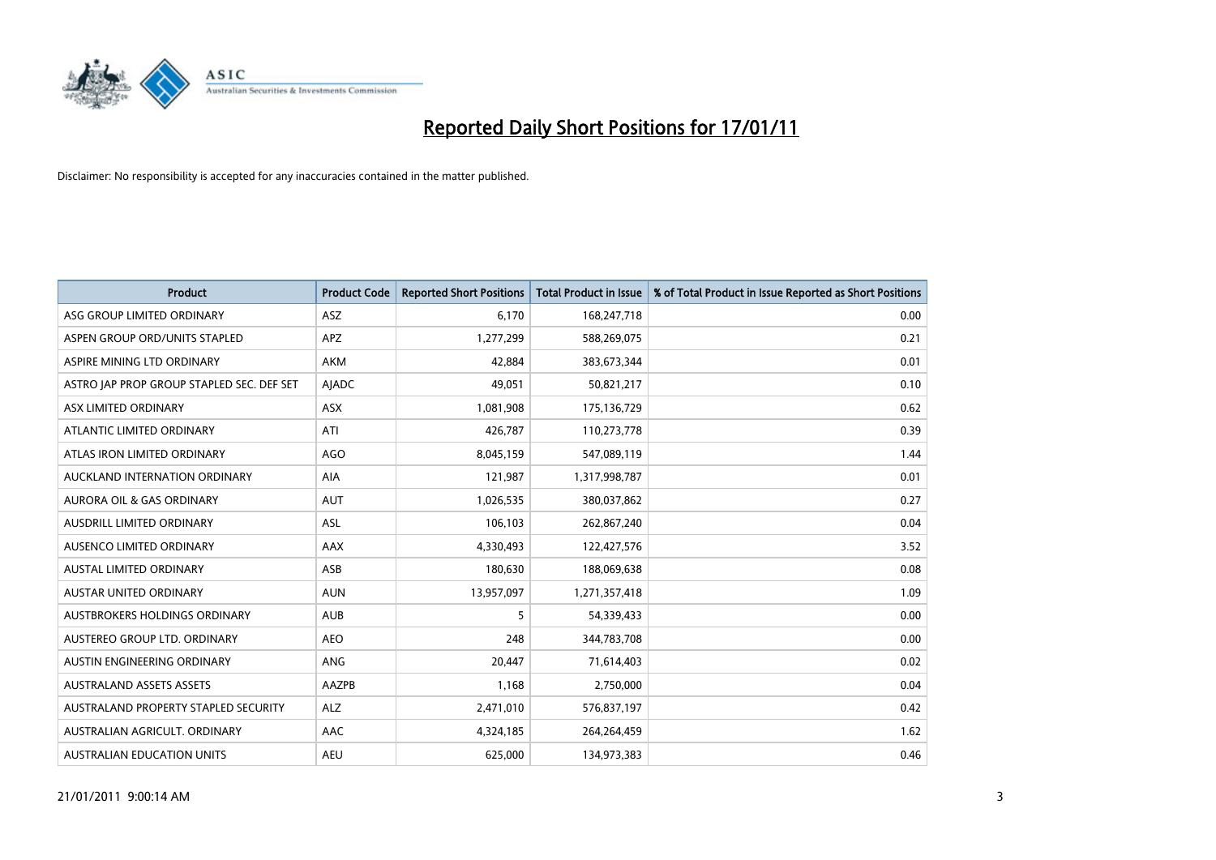

| <b>Product</b>                            | <b>Product Code</b> | <b>Reported Short Positions</b> | <b>Total Product in Issue</b> | % of Total Product in Issue Reported as Short Positions |
|-------------------------------------------|---------------------|---------------------------------|-------------------------------|---------------------------------------------------------|
| ASG GROUP LIMITED ORDINARY                | ASZ                 | 6,170                           | 168,247,718                   | 0.00                                                    |
| ASPEN GROUP ORD/UNITS STAPLED             | <b>APZ</b>          | 1,277,299                       | 588,269,075                   | 0.21                                                    |
| ASPIRE MINING LTD ORDINARY                | <b>AKM</b>          | 42,884                          | 383,673,344                   | 0.01                                                    |
| ASTRO JAP PROP GROUP STAPLED SEC. DEF SET | <b>AJADC</b>        | 49,051                          | 50,821,217                    | 0.10                                                    |
| ASX LIMITED ORDINARY                      | <b>ASX</b>          | 1,081,908                       | 175,136,729                   | 0.62                                                    |
| ATLANTIC LIMITED ORDINARY                 | ATI                 | 426,787                         | 110,273,778                   | 0.39                                                    |
| ATLAS IRON LIMITED ORDINARY               | <b>AGO</b>          | 8,045,159                       | 547,089,119                   | 1.44                                                    |
| AUCKLAND INTERNATION ORDINARY             | <b>AIA</b>          | 121,987                         | 1,317,998,787                 | 0.01                                                    |
| AURORA OIL & GAS ORDINARY                 | <b>AUT</b>          | 1,026,535                       | 380,037,862                   | 0.27                                                    |
| AUSDRILL LIMITED ORDINARY                 | <b>ASL</b>          | 106,103                         | 262,867,240                   | 0.04                                                    |
| AUSENCO LIMITED ORDINARY                  | <b>AAX</b>          | 4,330,493                       | 122,427,576                   | 3.52                                                    |
| <b>AUSTAL LIMITED ORDINARY</b>            | ASB                 | 180,630                         | 188,069,638                   | 0.08                                                    |
| AUSTAR UNITED ORDINARY                    | <b>AUN</b>          | 13,957,097                      | 1,271,357,418                 | 1.09                                                    |
| AUSTBROKERS HOLDINGS ORDINARY             | <b>AUB</b>          | 5                               | 54,339,433                    | 0.00                                                    |
| AUSTEREO GROUP LTD. ORDINARY              | <b>AEO</b>          | 248                             | 344,783,708                   | 0.00                                                    |
| AUSTIN ENGINEERING ORDINARY               | ANG                 | 20,447                          | 71,614,403                    | 0.02                                                    |
| <b>AUSTRALAND ASSETS ASSETS</b>           | <b>AAZPB</b>        | 1,168                           | 2,750,000                     | 0.04                                                    |
| AUSTRALAND PROPERTY STAPLED SECURITY      | <b>ALZ</b>          | 2,471,010                       | 576,837,197                   | 0.42                                                    |
| AUSTRALIAN AGRICULT, ORDINARY             | <b>AAC</b>          | 4,324,185                       | 264,264,459                   | 1.62                                                    |
| AUSTRALIAN EDUCATION UNITS                | <b>AEU</b>          | 625.000                         | 134,973,383                   | 0.46                                                    |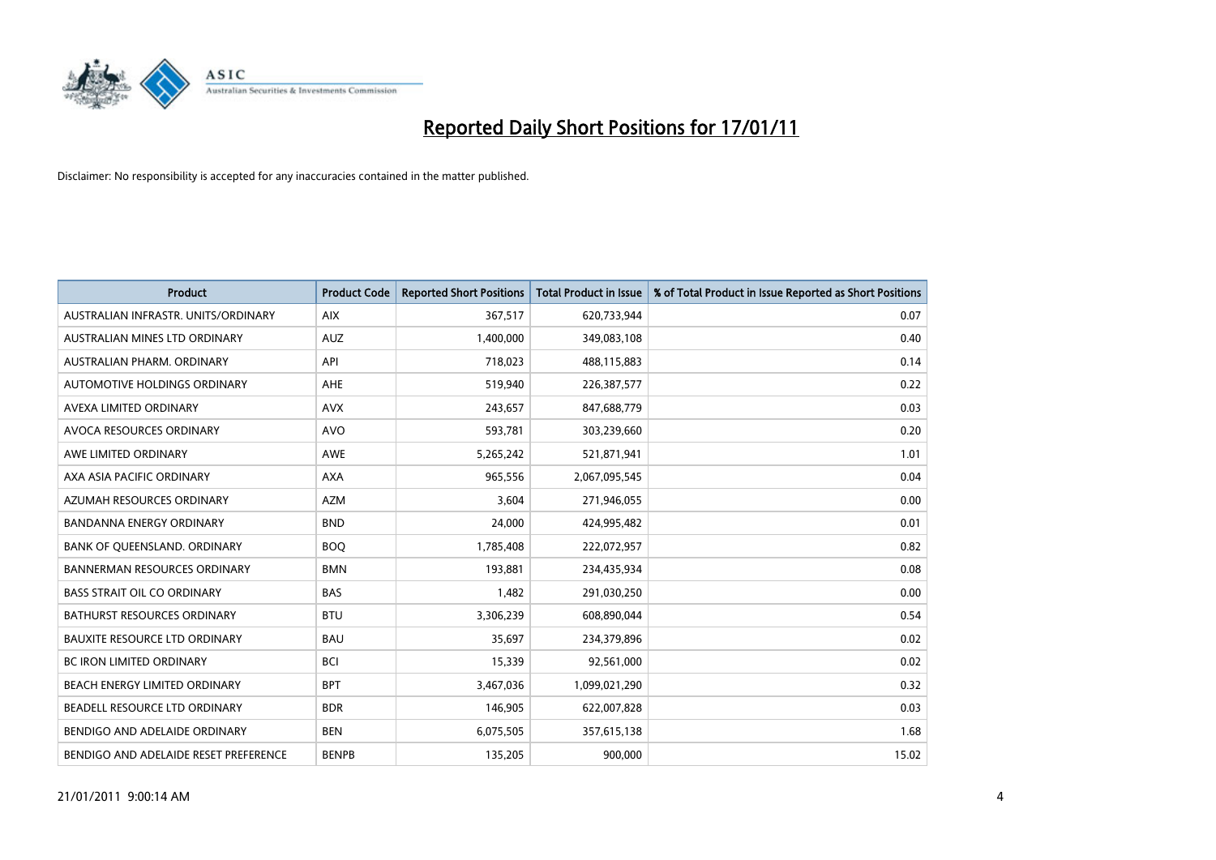

| Product                               | <b>Product Code</b> | <b>Reported Short Positions</b> | <b>Total Product in Issue</b> | % of Total Product in Issue Reported as Short Positions |
|---------------------------------------|---------------------|---------------------------------|-------------------------------|---------------------------------------------------------|
| AUSTRALIAN INFRASTR. UNITS/ORDINARY   | <b>AIX</b>          | 367,517                         | 620,733,944                   | 0.07                                                    |
| AUSTRALIAN MINES LTD ORDINARY         | <b>AUZ</b>          | 1,400,000                       | 349,083,108                   | 0.40                                                    |
| AUSTRALIAN PHARM, ORDINARY            | API                 | 718,023                         | 488,115,883                   | 0.14                                                    |
| AUTOMOTIVE HOLDINGS ORDINARY          | <b>AHE</b>          | 519,940                         | 226,387,577                   | 0.22                                                    |
| AVEXA LIMITED ORDINARY                | <b>AVX</b>          | 243,657                         | 847,688,779                   | 0.03                                                    |
| AVOCA RESOURCES ORDINARY              | <b>AVO</b>          | 593,781                         | 303,239,660                   | 0.20                                                    |
| AWE LIMITED ORDINARY                  | <b>AWE</b>          | 5,265,242                       | 521,871,941                   | 1.01                                                    |
| AXA ASIA PACIFIC ORDINARY             | <b>AXA</b>          | 965,556                         | 2,067,095,545                 | 0.04                                                    |
| AZUMAH RESOURCES ORDINARY             | <b>AZM</b>          | 3,604                           | 271,946,055                   | 0.00                                                    |
| <b>BANDANNA ENERGY ORDINARY</b>       | <b>BND</b>          | 24,000                          | 424,995,482                   | 0.01                                                    |
| BANK OF QUEENSLAND. ORDINARY          | <b>BOQ</b>          | 1,785,408                       | 222,072,957                   | 0.82                                                    |
| <b>BANNERMAN RESOURCES ORDINARY</b>   | <b>BMN</b>          | 193,881                         | 234,435,934                   | 0.08                                                    |
| <b>BASS STRAIT OIL CO ORDINARY</b>    | <b>BAS</b>          | 1,482                           | 291,030,250                   | 0.00                                                    |
| <b>BATHURST RESOURCES ORDINARY</b>    | <b>BTU</b>          | 3,306,239                       | 608,890,044                   | 0.54                                                    |
| <b>BAUXITE RESOURCE LTD ORDINARY</b>  | <b>BAU</b>          | 35,697                          | 234,379,896                   | 0.02                                                    |
| <b>BC IRON LIMITED ORDINARY</b>       | <b>BCI</b>          | 15,339                          | 92,561,000                    | 0.02                                                    |
| <b>BEACH ENERGY LIMITED ORDINARY</b>  | <b>BPT</b>          | 3,467,036                       | 1,099,021,290                 | 0.32                                                    |
| BEADELL RESOURCE LTD ORDINARY         | <b>BDR</b>          | 146,905                         | 622,007,828                   | 0.03                                                    |
| BENDIGO AND ADELAIDE ORDINARY         | <b>BEN</b>          | 6,075,505                       | 357,615,138                   | 1.68                                                    |
| BENDIGO AND ADELAIDE RESET PREFERENCE | <b>BENPB</b>        | 135,205                         | 900,000                       | 15.02                                                   |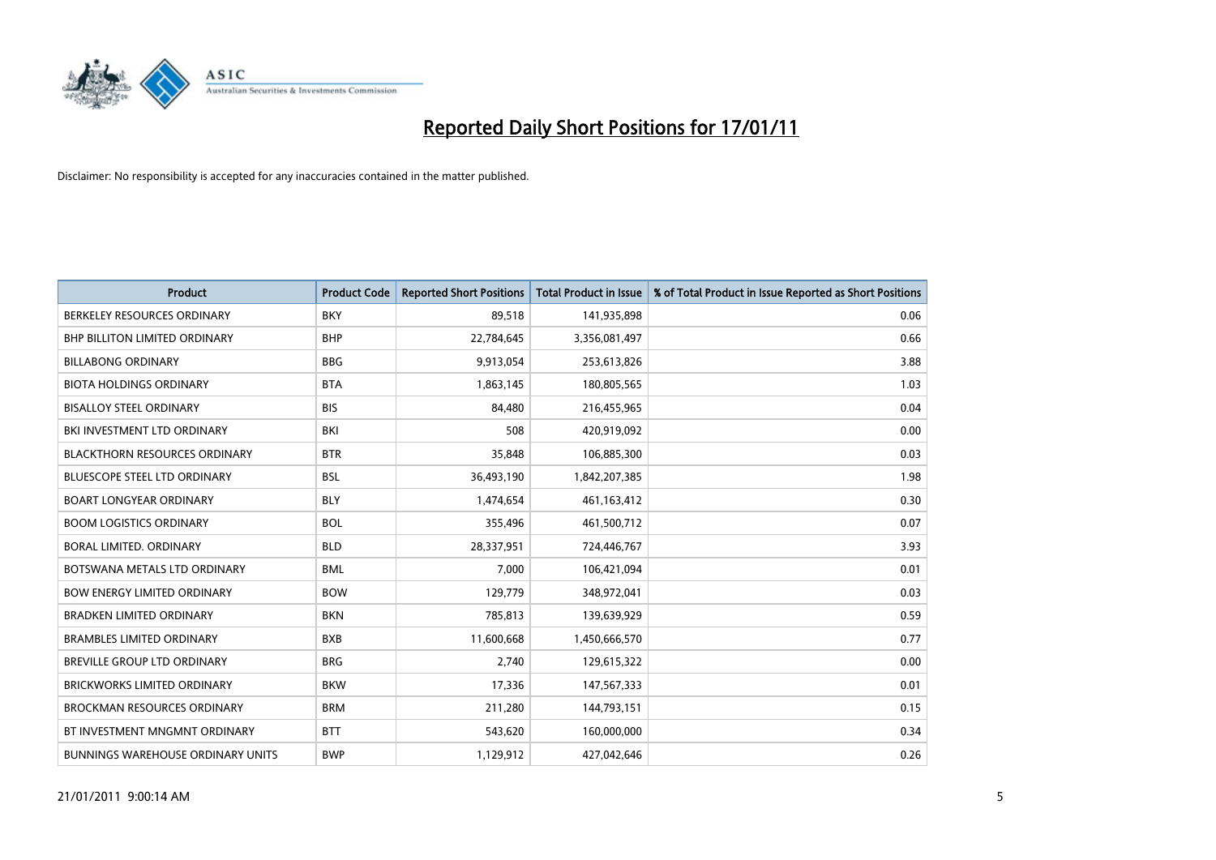

| <b>Product</b>                           | <b>Product Code</b> | <b>Reported Short Positions</b> | <b>Total Product in Issue</b> | % of Total Product in Issue Reported as Short Positions |
|------------------------------------------|---------------------|---------------------------------|-------------------------------|---------------------------------------------------------|
| BERKELEY RESOURCES ORDINARY              | <b>BKY</b>          | 89,518                          | 141,935,898                   | 0.06                                                    |
| BHP BILLITON LIMITED ORDINARY            | <b>BHP</b>          | 22,784,645                      | 3,356,081,497                 | 0.66                                                    |
| <b>BILLABONG ORDINARY</b>                | <b>BBG</b>          | 9,913,054                       | 253,613,826                   | 3.88                                                    |
| <b>BIOTA HOLDINGS ORDINARY</b>           | <b>BTA</b>          | 1,863,145                       | 180,805,565                   | 1.03                                                    |
| <b>BISALLOY STEEL ORDINARY</b>           | <b>BIS</b>          | 84,480                          | 216,455,965                   | 0.04                                                    |
| BKI INVESTMENT LTD ORDINARY              | <b>BKI</b>          | 508                             | 420,919,092                   | 0.00                                                    |
| <b>BLACKTHORN RESOURCES ORDINARY</b>     | <b>BTR</b>          | 35,848                          | 106,885,300                   | 0.03                                                    |
| <b>BLUESCOPE STEEL LTD ORDINARY</b>      | <b>BSL</b>          | 36,493,190                      | 1,842,207,385                 | 1.98                                                    |
| <b>BOART LONGYEAR ORDINARY</b>           | <b>BLY</b>          | 1,474,654                       | 461,163,412                   | 0.30                                                    |
| <b>BOOM LOGISTICS ORDINARY</b>           | <b>BOL</b>          | 355,496                         | 461,500,712                   | 0.07                                                    |
| <b>BORAL LIMITED, ORDINARY</b>           | <b>BLD</b>          | 28,337,951                      | 724,446,767                   | 3.93                                                    |
| BOTSWANA METALS LTD ORDINARY             | <b>BML</b>          | 7,000                           | 106,421,094                   | 0.01                                                    |
| <b>BOW ENERGY LIMITED ORDINARY</b>       | <b>BOW</b>          | 129,779                         | 348,972,041                   | 0.03                                                    |
| <b>BRADKEN LIMITED ORDINARY</b>          | <b>BKN</b>          | 785,813                         | 139,639,929                   | 0.59                                                    |
| <b>BRAMBLES LIMITED ORDINARY</b>         | <b>BXB</b>          | 11,600,668                      | 1,450,666,570                 | 0.77                                                    |
| <b>BREVILLE GROUP LTD ORDINARY</b>       | <b>BRG</b>          | 2.740                           | 129,615,322                   | 0.00                                                    |
| <b>BRICKWORKS LIMITED ORDINARY</b>       | <b>BKW</b>          | 17,336                          | 147,567,333                   | 0.01                                                    |
| <b>BROCKMAN RESOURCES ORDINARY</b>       | <b>BRM</b>          | 211,280                         | 144,793,151                   | 0.15                                                    |
| BT INVESTMENT MNGMNT ORDINARY            | <b>BTT</b>          | 543,620                         | 160,000,000                   | 0.34                                                    |
| <b>BUNNINGS WAREHOUSE ORDINARY UNITS</b> | <b>BWP</b>          | 1,129,912                       | 427,042,646                   | 0.26                                                    |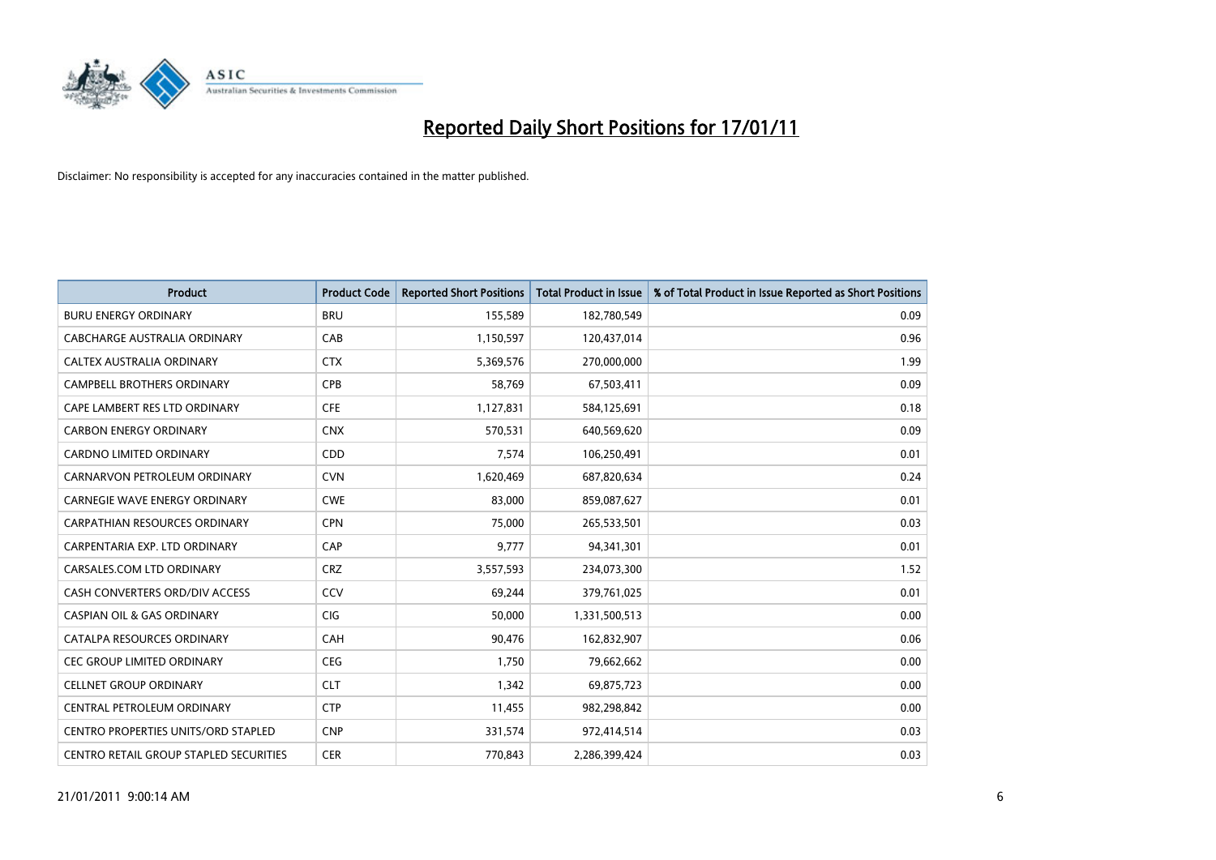

| <b>Product</b>                                | <b>Product Code</b> | <b>Reported Short Positions</b> | <b>Total Product in Issue</b> | % of Total Product in Issue Reported as Short Positions |
|-----------------------------------------------|---------------------|---------------------------------|-------------------------------|---------------------------------------------------------|
| <b>BURU ENERGY ORDINARY</b>                   | <b>BRU</b>          | 155,589                         | 182,780,549                   | 0.09                                                    |
| CABCHARGE AUSTRALIA ORDINARY                  | CAB                 | 1,150,597                       | 120,437,014                   | 0.96                                                    |
| CALTEX AUSTRALIA ORDINARY                     | <b>CTX</b>          | 5,369,576                       | 270,000,000                   | 1.99                                                    |
| CAMPBELL BROTHERS ORDINARY                    | <b>CPB</b>          | 58,769                          | 67,503,411                    | 0.09                                                    |
| CAPE LAMBERT RES LTD ORDINARY                 | <b>CFE</b>          | 1,127,831                       | 584,125,691                   | 0.18                                                    |
| <b>CARBON ENERGY ORDINARY</b>                 | <b>CNX</b>          | 570,531                         | 640,569,620                   | 0.09                                                    |
| <b>CARDNO LIMITED ORDINARY</b>                | CDD                 | 7,574                           | 106,250,491                   | 0.01                                                    |
| CARNARVON PETROLEUM ORDINARY                  | <b>CVN</b>          | 1,620,469                       | 687,820,634                   | 0.24                                                    |
| CARNEGIE WAVE ENERGY ORDINARY                 | <b>CWE</b>          | 83,000                          | 859,087,627                   | 0.01                                                    |
| <b>CARPATHIAN RESOURCES ORDINARY</b>          | <b>CPN</b>          | 75,000                          | 265,533,501                   | 0.03                                                    |
| CARPENTARIA EXP. LTD ORDINARY                 | CAP                 | 9,777                           | 94,341,301                    | 0.01                                                    |
| CARSALES.COM LTD ORDINARY                     | <b>CRZ</b>          | 3,557,593                       | 234,073,300                   | 1.52                                                    |
| CASH CONVERTERS ORD/DIV ACCESS                | CCV                 | 69,244                          | 379,761,025                   | 0.01                                                    |
| <b>CASPIAN OIL &amp; GAS ORDINARY</b>         | CIG                 | 50,000                          | 1,331,500,513                 | 0.00                                                    |
| CATALPA RESOURCES ORDINARY                    | CAH                 | 90,476                          | 162,832,907                   | 0.06                                                    |
| CEC GROUP LIMITED ORDINARY                    | <b>CEG</b>          | 1,750                           | 79,662,662                    | 0.00                                                    |
| <b>CELLNET GROUP ORDINARY</b>                 | <b>CLT</b>          | 1,342                           | 69,875,723                    | 0.00                                                    |
| CENTRAL PETROLEUM ORDINARY                    | <b>CTP</b>          | 11,455                          | 982,298,842                   | 0.00                                                    |
| <b>CENTRO PROPERTIES UNITS/ORD STAPLED</b>    | <b>CNP</b>          | 331,574                         | 972,414,514                   | 0.03                                                    |
| <b>CENTRO RETAIL GROUP STAPLED SECURITIES</b> | <b>CER</b>          | 770.843                         | 2,286,399,424                 | 0.03                                                    |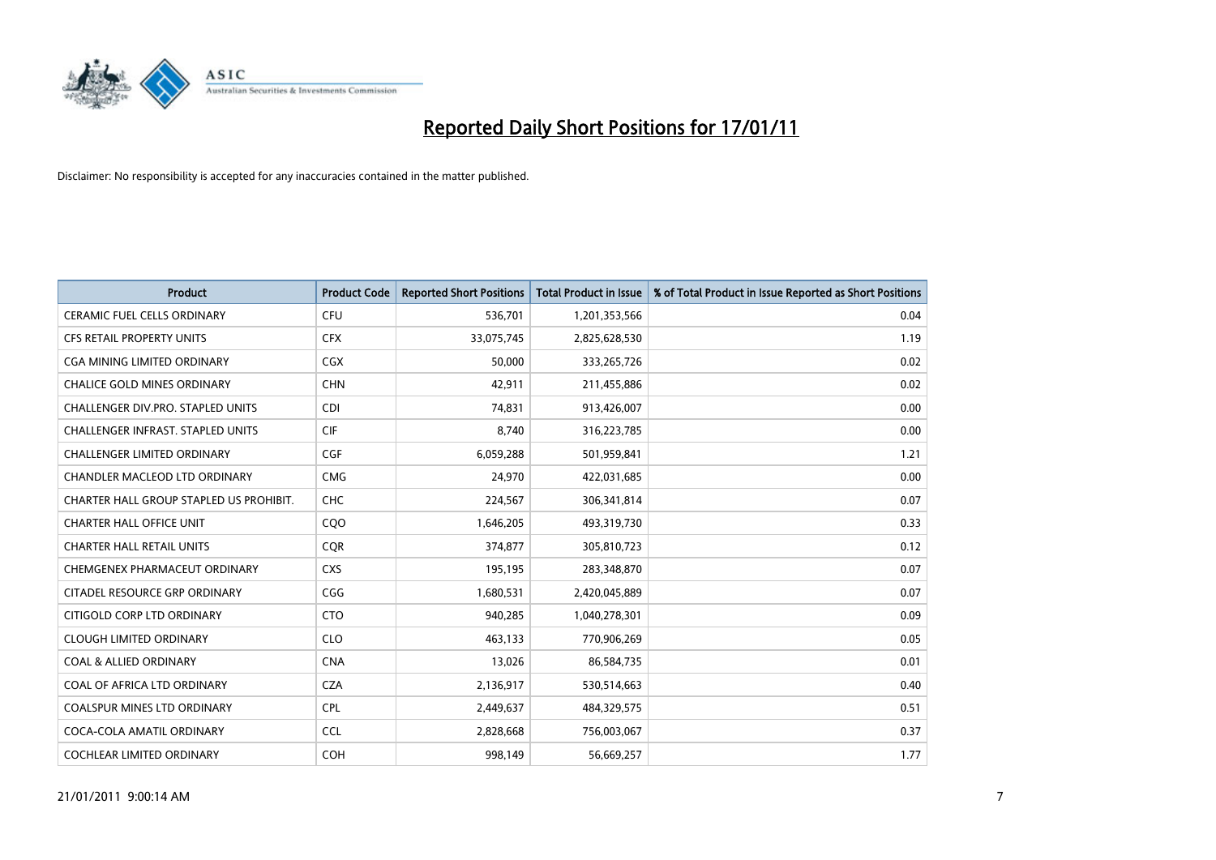

| <b>Product</b>                          | <b>Product Code</b> | <b>Reported Short Positions</b> | <b>Total Product in Issue</b> | % of Total Product in Issue Reported as Short Positions |
|-----------------------------------------|---------------------|---------------------------------|-------------------------------|---------------------------------------------------------|
| <b>CERAMIC FUEL CELLS ORDINARY</b>      | <b>CFU</b>          | 536,701                         | 1,201,353,566                 | 0.04                                                    |
| CFS RETAIL PROPERTY UNITS               | <b>CFX</b>          | 33,075,745                      | 2,825,628,530                 | 1.19                                                    |
| <b>CGA MINING LIMITED ORDINARY</b>      | <b>CGX</b>          | 50,000                          | 333,265,726                   | 0.02                                                    |
| CHALICE GOLD MINES ORDINARY             | <b>CHN</b>          | 42,911                          | 211,455,886                   | 0.02                                                    |
| CHALLENGER DIV.PRO. STAPLED UNITS       | <b>CDI</b>          | 74,831                          | 913,426,007                   | 0.00                                                    |
| CHALLENGER INFRAST. STAPLED UNITS       | <b>CIF</b>          | 8,740                           | 316,223,785                   | 0.00                                                    |
| <b>CHALLENGER LIMITED ORDINARY</b>      | <b>CGF</b>          | 6,059,288                       | 501,959,841                   | 1.21                                                    |
| <b>CHANDLER MACLEOD LTD ORDINARY</b>    | <b>CMG</b>          | 24,970                          | 422,031,685                   | 0.00                                                    |
| CHARTER HALL GROUP STAPLED US PROHIBIT. | <b>CHC</b>          | 224,567                         | 306,341,814                   | 0.07                                                    |
| <b>CHARTER HALL OFFICE UNIT</b>         | CQ <sub>O</sub>     | 1,646,205                       | 493,319,730                   | 0.33                                                    |
| <b>CHARTER HALL RETAIL UNITS</b>        | CQR                 | 374,877                         | 305,810,723                   | 0.12                                                    |
| CHEMGENEX PHARMACEUT ORDINARY           | <b>CXS</b>          | 195,195                         | 283,348,870                   | 0.07                                                    |
| CITADEL RESOURCE GRP ORDINARY           | CGG                 | 1,680,531                       | 2,420,045,889                 | 0.07                                                    |
| CITIGOLD CORP LTD ORDINARY              | <b>CTO</b>          | 940,285                         | 1,040,278,301                 | 0.09                                                    |
| <b>CLOUGH LIMITED ORDINARY</b>          | <b>CLO</b>          | 463,133                         | 770,906,269                   | 0.05                                                    |
| <b>COAL &amp; ALLIED ORDINARY</b>       | <b>CNA</b>          | 13,026                          | 86,584,735                    | 0.01                                                    |
| COAL OF AFRICA LTD ORDINARY             | <b>CZA</b>          | 2,136,917                       | 530,514,663                   | 0.40                                                    |
| COALSPUR MINES LTD ORDINARY             | <b>CPL</b>          | 2,449,637                       | 484,329,575                   | 0.51                                                    |
| COCA-COLA AMATIL ORDINARY               | <b>CCL</b>          | 2,828,668                       | 756,003,067                   | 0.37                                                    |
| COCHLEAR LIMITED ORDINARY               | <b>COH</b>          | 998,149                         | 56,669,257                    | 1.77                                                    |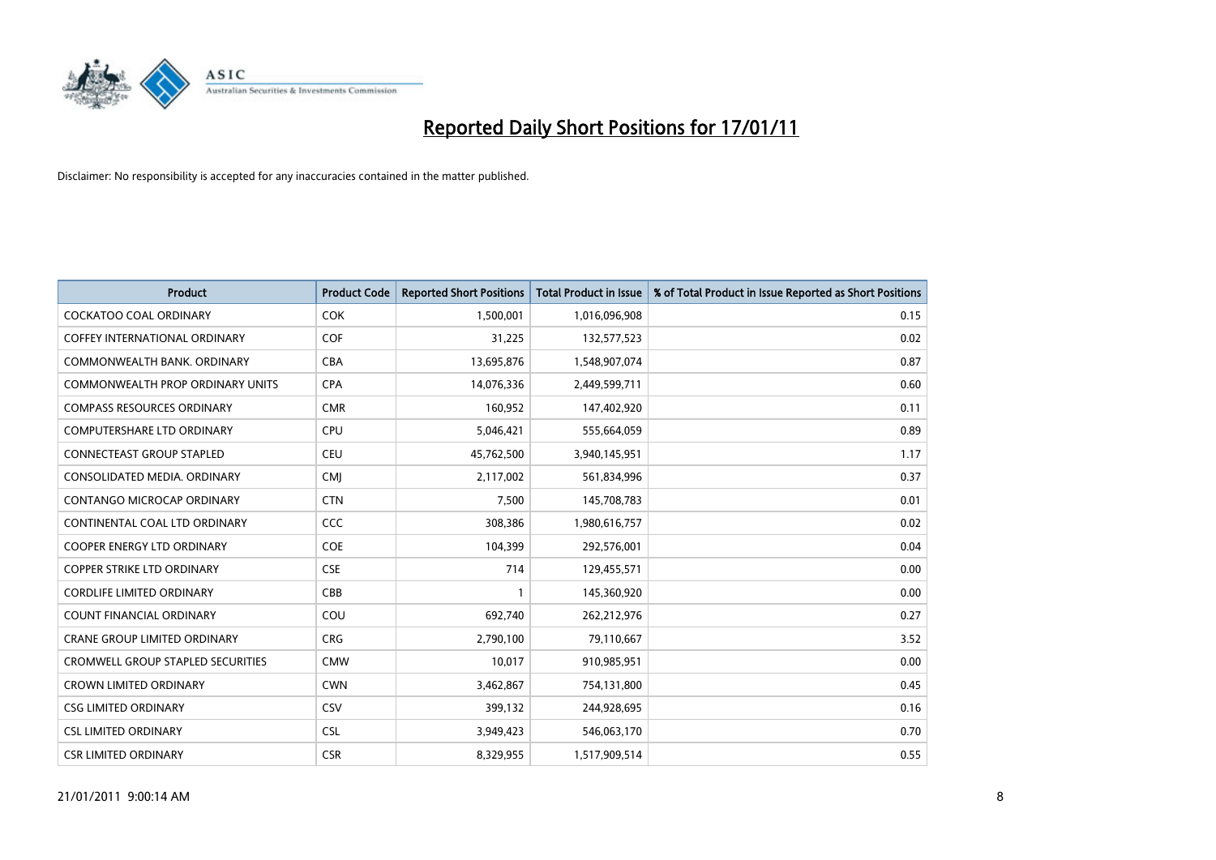

| <b>Product</b>                           | <b>Product Code</b> | <b>Reported Short Positions</b> | Total Product in Issue | % of Total Product in Issue Reported as Short Positions |
|------------------------------------------|---------------------|---------------------------------|------------------------|---------------------------------------------------------|
| <b>COCKATOO COAL ORDINARY</b>            | <b>COK</b>          | 1,500,001                       | 1,016,096,908          | 0.15                                                    |
| <b>COFFEY INTERNATIONAL ORDINARY</b>     | <b>COF</b>          | 31,225                          | 132,577,523            | 0.02                                                    |
| COMMONWEALTH BANK, ORDINARY              | <b>CBA</b>          | 13,695,876                      | 1,548,907,074          | 0.87                                                    |
| <b>COMMONWEALTH PROP ORDINARY UNITS</b>  | CPA                 | 14,076,336                      | 2,449,599,711          | 0.60                                                    |
| <b>COMPASS RESOURCES ORDINARY</b>        | <b>CMR</b>          | 160,952                         | 147,402,920            | 0.11                                                    |
| <b>COMPUTERSHARE LTD ORDINARY</b>        | <b>CPU</b>          | 5,046,421                       | 555,664,059            | 0.89                                                    |
| <b>CONNECTEAST GROUP STAPLED</b>         | <b>CEU</b>          | 45,762,500                      | 3,940,145,951          | 1.17                                                    |
| CONSOLIDATED MEDIA. ORDINARY             | <b>CMI</b>          | 2,117,002                       | 561,834,996            | 0.37                                                    |
| CONTANGO MICROCAP ORDINARY               | <b>CTN</b>          | 7,500                           | 145,708,783            | 0.01                                                    |
| CONTINENTAL COAL LTD ORDINARY            | <b>CCC</b>          | 308,386                         | 1,980,616,757          | 0.02                                                    |
| COOPER ENERGY LTD ORDINARY               | <b>COE</b>          | 104,399                         | 292,576,001            | 0.04                                                    |
| <b>COPPER STRIKE LTD ORDINARY</b>        | <b>CSE</b>          | 714                             | 129,455,571            | 0.00                                                    |
| <b>CORDLIFE LIMITED ORDINARY</b>         | CBB                 |                                 | 145,360,920            | 0.00                                                    |
| <b>COUNT FINANCIAL ORDINARY</b>          | COU                 | 692,740                         | 262,212,976            | 0.27                                                    |
| <b>CRANE GROUP LIMITED ORDINARY</b>      | <b>CRG</b>          | 2,790,100                       | 79,110,667             | 3.52                                                    |
| <b>CROMWELL GROUP STAPLED SECURITIES</b> | <b>CMW</b>          | 10,017                          | 910,985,951            | 0.00                                                    |
| <b>CROWN LIMITED ORDINARY</b>            | <b>CWN</b>          | 3,462,867                       | 754,131,800            | 0.45                                                    |
| <b>CSG LIMITED ORDINARY</b>              | CSV                 | 399,132                         | 244,928,695            | 0.16                                                    |
| <b>CSL LIMITED ORDINARY</b>              | <b>CSL</b>          | 3,949,423                       | 546,063,170            | 0.70                                                    |
| <b>CSR LIMITED ORDINARY</b>              | <b>CSR</b>          | 8.329.955                       | 1,517,909,514          | 0.55                                                    |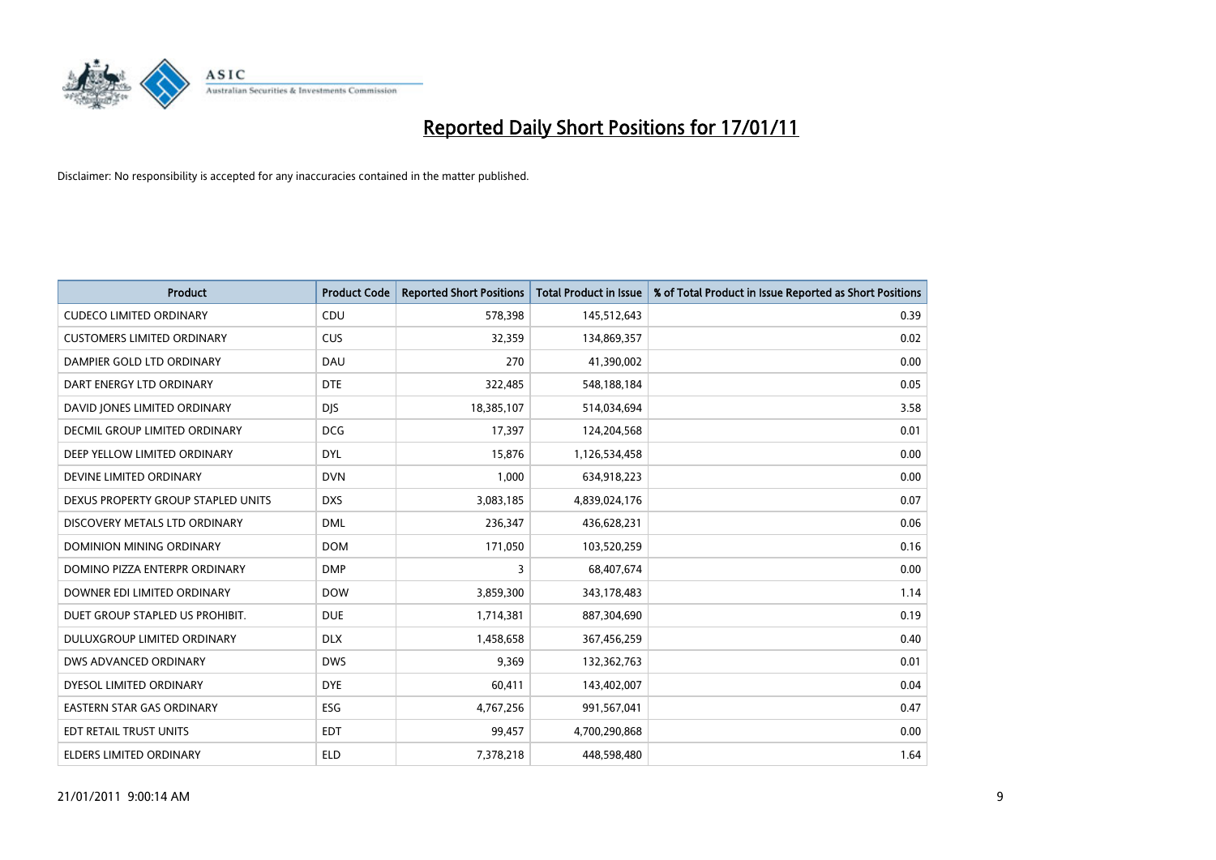

| Product                            | <b>Product Code</b> | <b>Reported Short Positions</b> | <b>Total Product in Issue</b> | % of Total Product in Issue Reported as Short Positions |
|------------------------------------|---------------------|---------------------------------|-------------------------------|---------------------------------------------------------|
| <b>CUDECO LIMITED ORDINARY</b>     | CDU                 | 578,398                         | 145,512,643                   | 0.39                                                    |
| <b>CUSTOMERS LIMITED ORDINARY</b>  | <b>CUS</b>          | 32,359                          | 134,869,357                   | 0.02                                                    |
| DAMPIER GOLD LTD ORDINARY          | DAU                 | 270                             | 41,390,002                    | 0.00                                                    |
| DART ENERGY LTD ORDINARY           | <b>DTE</b>          | 322,485                         | 548,188,184                   | 0.05                                                    |
| DAVID JONES LIMITED ORDINARY       | <b>DIS</b>          | 18,385,107                      | 514,034,694                   | 3.58                                                    |
| DECMIL GROUP LIMITED ORDINARY      | <b>DCG</b>          | 17,397                          | 124,204,568                   | 0.01                                                    |
| DEEP YELLOW LIMITED ORDINARY       | <b>DYL</b>          | 15,876                          | 1,126,534,458                 | 0.00                                                    |
| DEVINE LIMITED ORDINARY            | <b>DVN</b>          | 1,000                           | 634,918,223                   | 0.00                                                    |
| DEXUS PROPERTY GROUP STAPLED UNITS | <b>DXS</b>          | 3,083,185                       | 4,839,024,176                 | 0.07                                                    |
| DISCOVERY METALS LTD ORDINARY      | <b>DML</b>          | 236,347                         | 436,628,231                   | 0.06                                                    |
| DOMINION MINING ORDINARY           | <b>DOM</b>          | 171,050                         | 103,520,259                   | 0.16                                                    |
| DOMINO PIZZA ENTERPR ORDINARY      | <b>DMP</b>          | 3                               | 68,407,674                    | 0.00                                                    |
| DOWNER EDI LIMITED ORDINARY        | <b>DOW</b>          | 3,859,300                       | 343,178,483                   | 1.14                                                    |
| DUET GROUP STAPLED US PROHIBIT.    | <b>DUE</b>          | 1,714,381                       | 887,304,690                   | 0.19                                                    |
| DULUXGROUP LIMITED ORDINARY        | <b>DLX</b>          | 1,458,658                       | 367,456,259                   | 0.40                                                    |
| DWS ADVANCED ORDINARY              | <b>DWS</b>          | 9.369                           | 132,362,763                   | 0.01                                                    |
| DYESOL LIMITED ORDINARY            | <b>DYE</b>          | 60,411                          | 143,402,007                   | 0.04                                                    |
| EASTERN STAR GAS ORDINARY          | ESG                 | 4,767,256                       | 991,567,041                   | 0.47                                                    |
| EDT RETAIL TRUST UNITS             | <b>EDT</b>          | 99,457                          | 4,700,290,868                 | 0.00                                                    |
| ELDERS LIMITED ORDINARY            | <b>ELD</b>          | 7,378,218                       | 448,598,480                   | 1.64                                                    |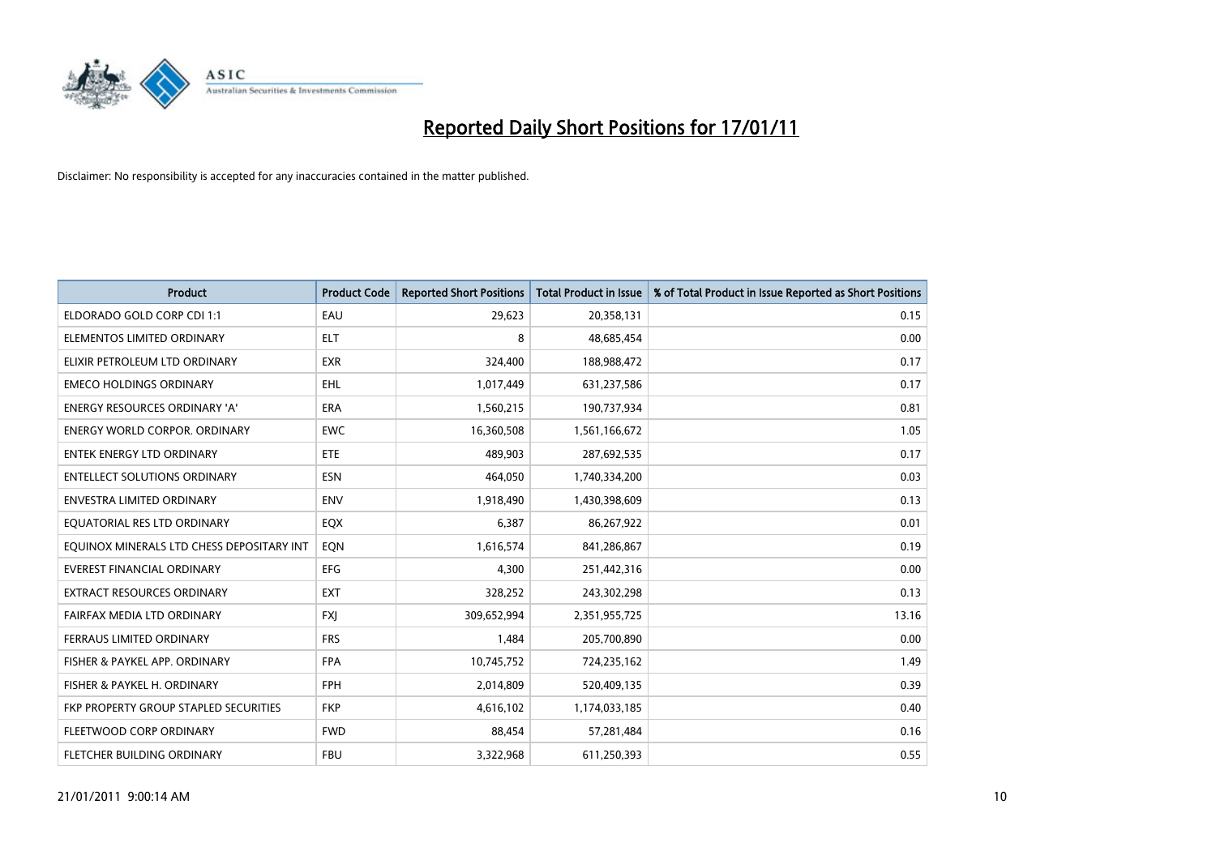

| <b>Product</b>                               | <b>Product Code</b> | <b>Reported Short Positions</b> | <b>Total Product in Issue</b> | % of Total Product in Issue Reported as Short Positions |
|----------------------------------------------|---------------------|---------------------------------|-------------------------------|---------------------------------------------------------|
| ELDORADO GOLD CORP CDI 1:1                   | EAU                 | 29,623                          | 20,358,131                    | 0.15                                                    |
| ELEMENTOS LIMITED ORDINARY                   | <b>ELT</b>          | 8                               | 48,685,454                    | 0.00                                                    |
| ELIXIR PETROLEUM LTD ORDINARY                | <b>EXR</b>          | 324,400                         | 188,988,472                   | 0.17                                                    |
| <b>EMECO HOLDINGS ORDINARY</b>               | <b>EHL</b>          | 1,017,449                       | 631,237,586                   | 0.17                                                    |
| <b>ENERGY RESOURCES ORDINARY 'A'</b>         | <b>ERA</b>          | 1,560,215                       | 190,737,934                   | 0.81                                                    |
| <b>ENERGY WORLD CORPOR, ORDINARY</b>         | <b>EWC</b>          | 16,360,508                      | 1,561,166,672                 | 1.05                                                    |
| <b>ENTEK ENERGY LTD ORDINARY</b>             | ETE                 | 489.903                         | 287,692,535                   | 0.17                                                    |
| <b>ENTELLECT SOLUTIONS ORDINARY</b>          | <b>ESN</b>          | 464,050                         | 1,740,334,200                 | 0.03                                                    |
| <b>ENVESTRA LIMITED ORDINARY</b>             | <b>ENV</b>          | 1,918,490                       | 1,430,398,609                 | 0.13                                                    |
| EQUATORIAL RES LTD ORDINARY                  | EQX                 | 6,387                           | 86,267,922                    | 0.01                                                    |
| EQUINOX MINERALS LTD CHESS DEPOSITARY INT    | EON                 | 1,616,574                       | 841,286,867                   | 0.19                                                    |
| <b>EVEREST FINANCIAL ORDINARY</b>            | <b>EFG</b>          | 4,300                           | 251,442,316                   | 0.00                                                    |
| EXTRACT RESOURCES ORDINARY                   | <b>EXT</b>          | 328,252                         | 243,302,298                   | 0.13                                                    |
| FAIRFAX MEDIA LTD ORDINARY                   | <b>FXI</b>          | 309,652,994                     | 2,351,955,725                 | 13.16                                                   |
| FERRAUS LIMITED ORDINARY                     | <b>FRS</b>          | 1,484                           | 205,700,890                   | 0.00                                                    |
| FISHER & PAYKEL APP. ORDINARY                | <b>FPA</b>          | 10,745,752                      | 724,235,162                   | 1.49                                                    |
| FISHER & PAYKEL H. ORDINARY                  | FPH                 | 2,014,809                       | 520,409,135                   | 0.39                                                    |
| <b>FKP PROPERTY GROUP STAPLED SECURITIES</b> | <b>FKP</b>          | 4,616,102                       | 1,174,033,185                 | 0.40                                                    |
| FLEETWOOD CORP ORDINARY                      | <b>FWD</b>          | 88,454                          | 57,281,484                    | 0.16                                                    |
| FLETCHER BUILDING ORDINARY                   | <b>FBU</b>          | 3,322,968                       | 611,250,393                   | 0.55                                                    |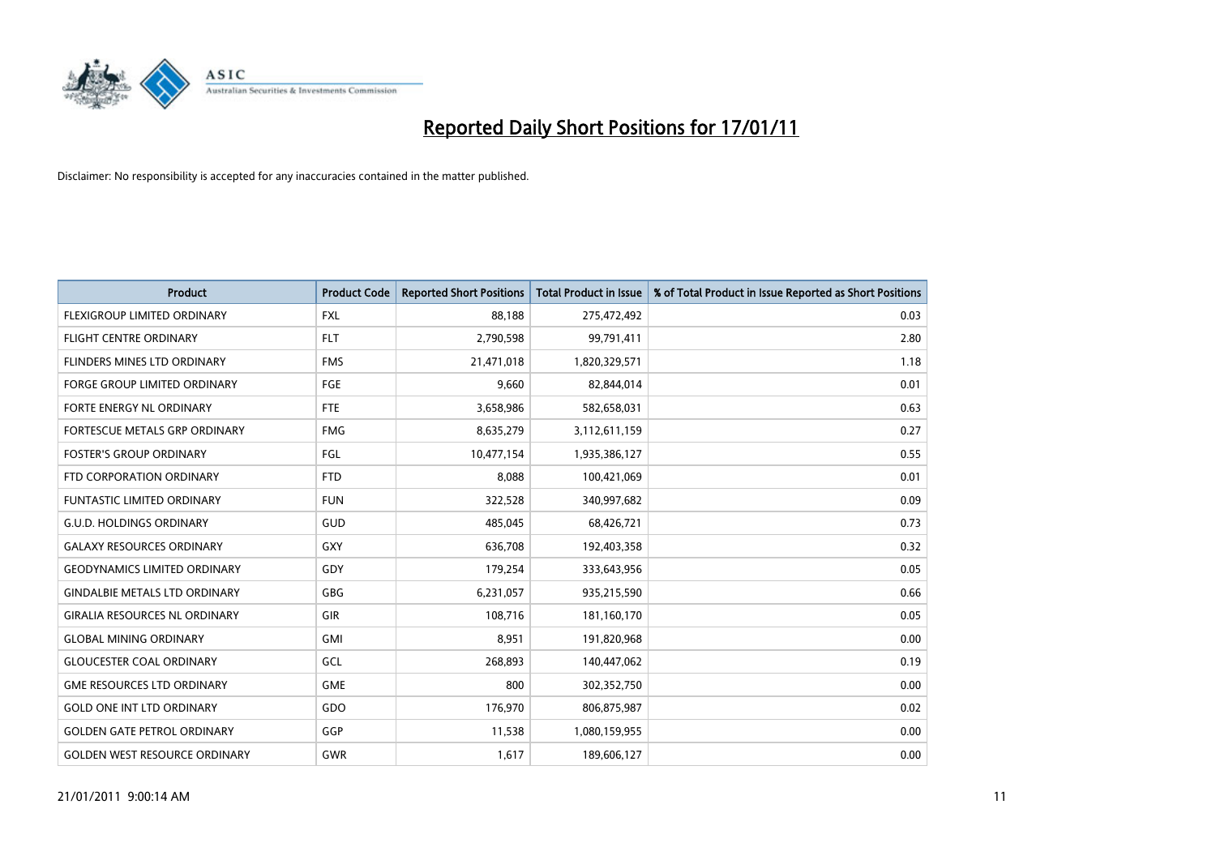

| <b>Product</b>                       | <b>Product Code</b> | <b>Reported Short Positions</b> | <b>Total Product in Issue</b> | % of Total Product in Issue Reported as Short Positions |
|--------------------------------------|---------------------|---------------------------------|-------------------------------|---------------------------------------------------------|
| FLEXIGROUP LIMITED ORDINARY          | <b>FXL</b>          | 88,188                          | 275,472,492                   | 0.03                                                    |
| <b>FLIGHT CENTRE ORDINARY</b>        | <b>FLT</b>          | 2,790,598                       | 99,791,411                    | 2.80                                                    |
| FLINDERS MINES LTD ORDINARY          | <b>FMS</b>          | 21,471,018                      | 1,820,329,571                 | 1.18                                                    |
| FORGE GROUP LIMITED ORDINARY         | FGE                 | 9,660                           | 82,844,014                    | 0.01                                                    |
| FORTE ENERGY NL ORDINARY             | FTE                 | 3,658,986                       | 582,658,031                   | 0.63                                                    |
| FORTESCUE METALS GRP ORDINARY        | <b>FMG</b>          | 8,635,279                       | 3,112,611,159                 | 0.27                                                    |
| <b>FOSTER'S GROUP ORDINARY</b>       | FGL                 | 10,477,154                      | 1,935,386,127                 | 0.55                                                    |
| FTD CORPORATION ORDINARY             | <b>FTD</b>          | 8,088                           | 100,421,069                   | 0.01                                                    |
| <b>FUNTASTIC LIMITED ORDINARY</b>    | <b>FUN</b>          | 322,528                         | 340,997,682                   | 0.09                                                    |
| <b>G.U.D. HOLDINGS ORDINARY</b>      | <b>GUD</b>          | 485,045                         | 68,426,721                    | 0.73                                                    |
| <b>GALAXY RESOURCES ORDINARY</b>     | GXY                 | 636,708                         | 192,403,358                   | 0.32                                                    |
| <b>GEODYNAMICS LIMITED ORDINARY</b>  | GDY                 | 179,254                         | 333,643,956                   | 0.05                                                    |
| <b>GINDALBIE METALS LTD ORDINARY</b> | <b>GBG</b>          | 6,231,057                       | 935,215,590                   | 0.66                                                    |
| <b>GIRALIA RESOURCES NL ORDINARY</b> | GIR                 | 108,716                         | 181,160,170                   | 0.05                                                    |
| <b>GLOBAL MINING ORDINARY</b>        | <b>GMI</b>          | 8,951                           | 191,820,968                   | 0.00                                                    |
| <b>GLOUCESTER COAL ORDINARY</b>      | GCL                 | 268,893                         | 140,447,062                   | 0.19                                                    |
| <b>GME RESOURCES LTD ORDINARY</b>    | GME                 | 800                             | 302,352,750                   | 0.00                                                    |
| <b>GOLD ONE INT LTD ORDINARY</b>     | GDO                 | 176,970                         | 806,875,987                   | 0.02                                                    |
| <b>GOLDEN GATE PETROL ORDINARY</b>   | GGP                 | 11,538                          | 1,080,159,955                 | 0.00                                                    |
| <b>GOLDEN WEST RESOURCE ORDINARY</b> | GWR                 | 1,617                           | 189,606,127                   | 0.00                                                    |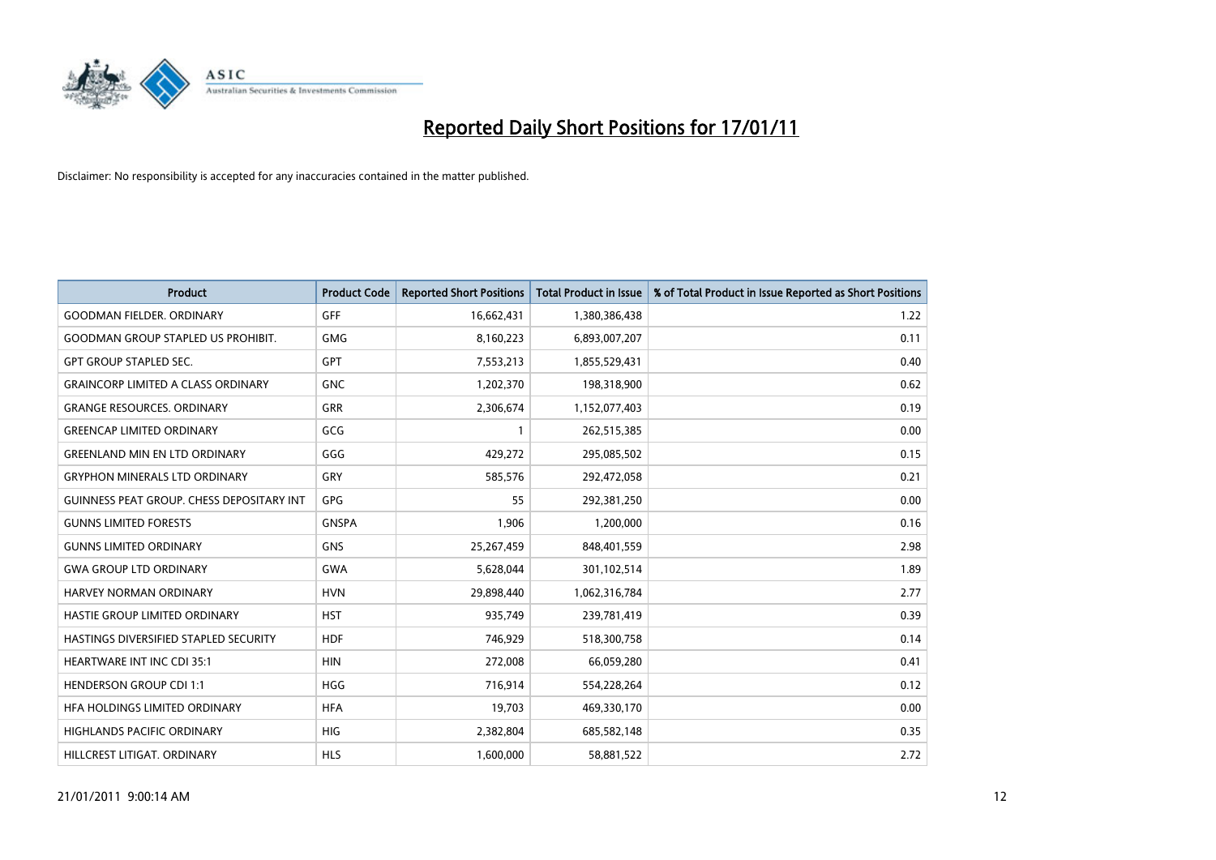

| <b>Product</b>                                   | <b>Product Code</b> | <b>Reported Short Positions</b> | Total Product in Issue | % of Total Product in Issue Reported as Short Positions |
|--------------------------------------------------|---------------------|---------------------------------|------------------------|---------------------------------------------------------|
| <b>GOODMAN FIELDER, ORDINARY</b>                 | <b>GFF</b>          | 16,662,431                      | 1,380,386,438          | 1.22                                                    |
| <b>GOODMAN GROUP STAPLED US PROHIBIT.</b>        | <b>GMG</b>          | 8,160,223                       | 6,893,007,207          | 0.11                                                    |
| <b>GPT GROUP STAPLED SEC.</b>                    | <b>GPT</b>          | 7,553,213                       | 1,855,529,431          | 0.40                                                    |
| <b>GRAINCORP LIMITED A CLASS ORDINARY</b>        | <b>GNC</b>          | 1,202,370                       | 198,318,900            | 0.62                                                    |
| <b>GRANGE RESOURCES, ORDINARY</b>                | GRR                 | 2,306,674                       | 1,152,077,403          | 0.19                                                    |
| <b>GREENCAP LIMITED ORDINARY</b>                 | GCG                 |                                 | 262,515,385            | 0.00                                                    |
| <b>GREENLAND MIN EN LTD ORDINARY</b>             | GGG                 | 429.272                         | 295,085,502            | 0.15                                                    |
| <b>GRYPHON MINERALS LTD ORDINARY</b>             | GRY                 | 585,576                         | 292,472,058            | 0.21                                                    |
| <b>GUINNESS PEAT GROUP. CHESS DEPOSITARY INT</b> | <b>GPG</b>          | 55                              | 292,381,250            | 0.00                                                    |
| <b>GUNNS LIMITED FORESTS</b>                     | <b>GNSPA</b>        | 1.906                           | 1,200,000              | 0.16                                                    |
| <b>GUNNS LIMITED ORDINARY</b>                    | <b>GNS</b>          | 25,267,459                      | 848,401,559            | 2.98                                                    |
| <b>GWA GROUP LTD ORDINARY</b>                    | <b>GWA</b>          | 5,628,044                       | 301,102,514            | 1.89                                                    |
| HARVEY NORMAN ORDINARY                           | <b>HVN</b>          | 29.898.440                      | 1,062,316,784          | 2.77                                                    |
| HASTIE GROUP LIMITED ORDINARY                    | <b>HST</b>          | 935.749                         | 239,781,419            | 0.39                                                    |
| HASTINGS DIVERSIFIED STAPLED SECURITY            | <b>HDF</b>          | 746,929                         | 518,300,758            | 0.14                                                    |
| <b>HEARTWARE INT INC CDI 35:1</b>                | <b>HIN</b>          | 272,008                         | 66,059,280             | 0.41                                                    |
| <b>HENDERSON GROUP CDI 1:1</b>                   | <b>HGG</b>          | 716,914                         | 554,228,264            | 0.12                                                    |
| HFA HOLDINGS LIMITED ORDINARY                    | <b>HFA</b>          | 19,703                          | 469,330,170            | 0.00                                                    |
| <b>HIGHLANDS PACIFIC ORDINARY</b>                | <b>HIG</b>          | 2,382,804                       | 685,582,148            | 0.35                                                    |
| HILLCREST LITIGAT, ORDINARY                      | <b>HLS</b>          | 1,600,000                       | 58,881,522             | 2.72                                                    |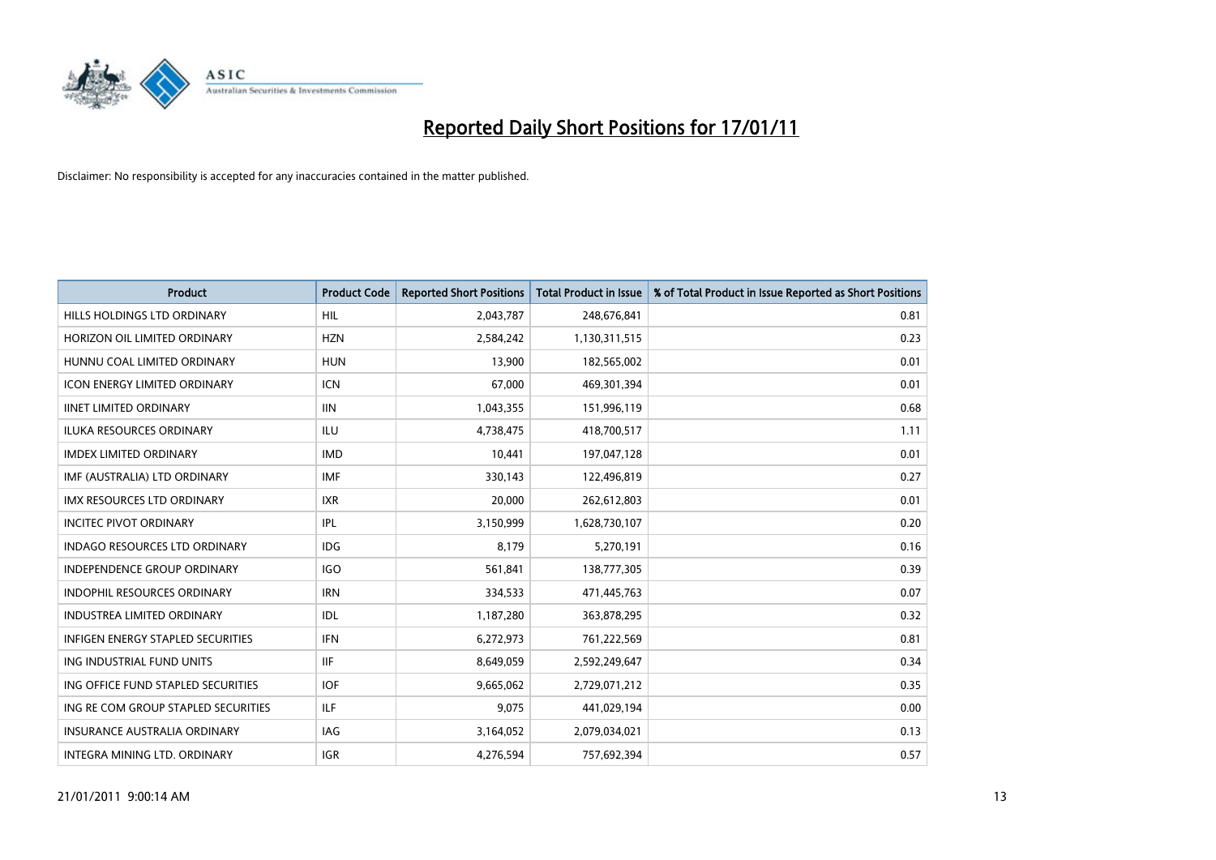

| <b>Product</b>                           | <b>Product Code</b> | <b>Reported Short Positions</b> | <b>Total Product in Issue</b> | % of Total Product in Issue Reported as Short Positions |
|------------------------------------------|---------------------|---------------------------------|-------------------------------|---------------------------------------------------------|
| HILLS HOLDINGS LTD ORDINARY              | <b>HIL</b>          | 2,043,787                       | 248,676,841                   | 0.81                                                    |
| HORIZON OIL LIMITED ORDINARY             | <b>HZN</b>          | 2,584,242                       | 1,130,311,515                 | 0.23                                                    |
| HUNNU COAL LIMITED ORDINARY              | <b>HUN</b>          | 13,900                          | 182,565,002                   | 0.01                                                    |
| ICON ENERGY LIMITED ORDINARY             | <b>ICN</b>          | 67,000                          | 469,301,394                   | 0.01                                                    |
| <b>IINET LIMITED ORDINARY</b>            | <b>IIN</b>          | 1,043,355                       | 151,996,119                   | 0.68                                                    |
| <b>ILUKA RESOURCES ORDINARY</b>          | <b>ILU</b>          | 4,738,475                       | 418,700,517                   | 1.11                                                    |
| <b>IMDEX LIMITED ORDINARY</b>            | <b>IMD</b>          | 10,441                          | 197,047,128                   | 0.01                                                    |
| IMF (AUSTRALIA) LTD ORDINARY             | <b>IMF</b>          | 330,143                         | 122,496,819                   | 0.27                                                    |
| IMX RESOURCES LTD ORDINARY               | <b>IXR</b>          | 20,000                          | 262,612,803                   | 0.01                                                    |
| <b>INCITEC PIVOT ORDINARY</b>            | IPL                 | 3,150,999                       | 1,628,730,107                 | 0.20                                                    |
| INDAGO RESOURCES LTD ORDINARY            | <b>IDG</b>          | 8,179                           | 5,270,191                     | 0.16                                                    |
| <b>INDEPENDENCE GROUP ORDINARY</b>       | <b>IGO</b>          | 561,841                         | 138,777,305                   | 0.39                                                    |
| <b>INDOPHIL RESOURCES ORDINARY</b>       | <b>IRN</b>          | 334,533                         | 471,445,763                   | 0.07                                                    |
| <b>INDUSTREA LIMITED ORDINARY</b>        | IDL                 | 1,187,280                       | 363,878,295                   | 0.32                                                    |
| <b>INFIGEN ENERGY STAPLED SECURITIES</b> | <b>IFN</b>          | 6,272,973                       | 761,222,569                   | 0.81                                                    |
| ING INDUSTRIAL FUND UNITS                | <b>IIF</b>          | 8,649,059                       | 2,592,249,647                 | 0.34                                                    |
| ING OFFICE FUND STAPLED SECURITIES       | <b>IOF</b>          | 9,665,062                       | 2,729,071,212                 | 0.35                                                    |
| ING RE COM GROUP STAPLED SECURITIES      | ILF.                | 9,075                           | 441,029,194                   | 0.00                                                    |
| <b>INSURANCE AUSTRALIA ORDINARY</b>      | <b>IAG</b>          | 3,164,052                       | 2,079,034,021                 | 0.13                                                    |
| INTEGRA MINING LTD. ORDINARY             | <b>IGR</b>          | 4,276,594                       | 757,692,394                   | 0.57                                                    |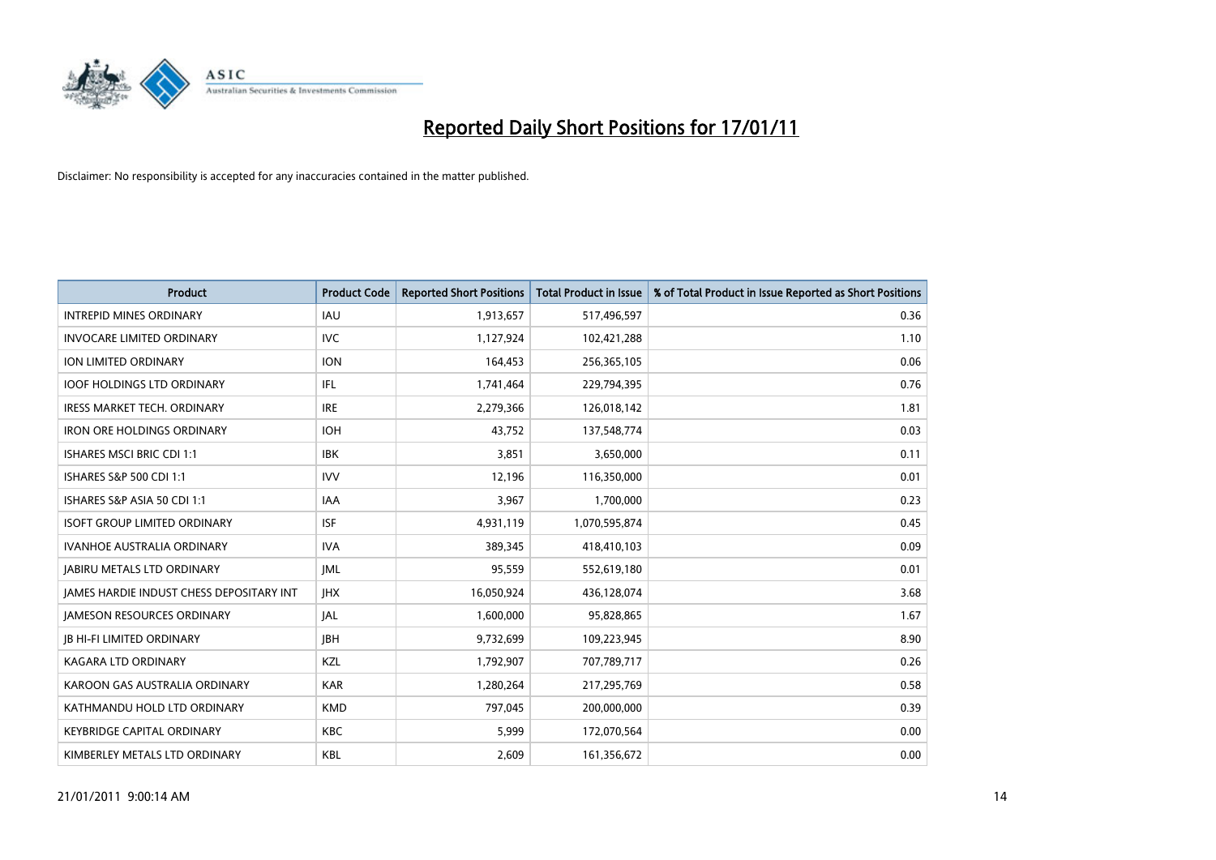

| <b>Product</b>                                  | <b>Product Code</b> | <b>Reported Short Positions</b> | <b>Total Product in Issue</b> | % of Total Product in Issue Reported as Short Positions |
|-------------------------------------------------|---------------------|---------------------------------|-------------------------------|---------------------------------------------------------|
| <b>INTREPID MINES ORDINARY</b>                  | <b>IAU</b>          | 1,913,657                       | 517,496,597                   | 0.36                                                    |
| <b>INVOCARE LIMITED ORDINARY</b>                | <b>IVC</b>          | 1,127,924                       | 102,421,288                   | 1.10                                                    |
| ION LIMITED ORDINARY                            | <b>ION</b>          | 164,453                         | 256,365,105                   | 0.06                                                    |
| IOOF HOLDINGS LTD ORDINARY                      | IFL                 | 1,741,464                       | 229,794,395                   | 0.76                                                    |
| <b>IRESS MARKET TECH. ORDINARY</b>              | <b>IRE</b>          | 2,279,366                       | 126,018,142                   | 1.81                                                    |
| <b>IRON ORE HOLDINGS ORDINARY</b>               | <b>IOH</b>          | 43,752                          | 137,548,774                   | 0.03                                                    |
| <b>ISHARES MSCI BRIC CDI 1:1</b>                | <b>IBK</b>          | 3.851                           | 3,650,000                     | 0.11                                                    |
| ISHARES S&P 500 CDI 1:1                         | <b>IVV</b>          | 12,196                          | 116,350,000                   | 0.01                                                    |
| ISHARES S&P ASIA 50 CDI 1:1                     | <b>IAA</b>          | 3,967                           | 1,700,000                     | 0.23                                                    |
| <b>ISOFT GROUP LIMITED ORDINARY</b>             | <b>ISF</b>          | 4.931.119                       | 1,070,595,874                 | 0.45                                                    |
| <b>IVANHOE AUSTRALIA ORDINARY</b>               | <b>IVA</b>          | 389,345                         | 418,410,103                   | 0.09                                                    |
| <b>JABIRU METALS LTD ORDINARY</b>               | <b>IML</b>          | 95,559                          | 552,619,180                   | 0.01                                                    |
| <b>IAMES HARDIE INDUST CHESS DEPOSITARY INT</b> | <b>IHX</b>          | 16,050,924                      | 436,128,074                   | 3.68                                                    |
| <b>IAMESON RESOURCES ORDINARY</b>               | <b>JAL</b>          | 1,600,000                       | 95,828,865                    | 1.67                                                    |
| <b>JB HI-FI LIMITED ORDINARY</b>                | <b>IBH</b>          | 9,732,699                       | 109,223,945                   | 8.90                                                    |
| <b>KAGARA LTD ORDINARY</b>                      | KZL                 | 1,792,907                       | 707,789,717                   | 0.26                                                    |
| KAROON GAS AUSTRALIA ORDINARY                   | <b>KAR</b>          | 1,280,264                       | 217,295,769                   | 0.58                                                    |
| KATHMANDU HOLD LTD ORDINARY                     | <b>KMD</b>          | 797,045                         | 200,000,000                   | 0.39                                                    |
| <b>KEYBRIDGE CAPITAL ORDINARY</b>               | <b>KBC</b>          | 5,999                           | 172,070,564                   | 0.00                                                    |
| KIMBERLEY METALS LTD ORDINARY                   | <b>KBL</b>          | 2.609                           | 161,356,672                   | 0.00                                                    |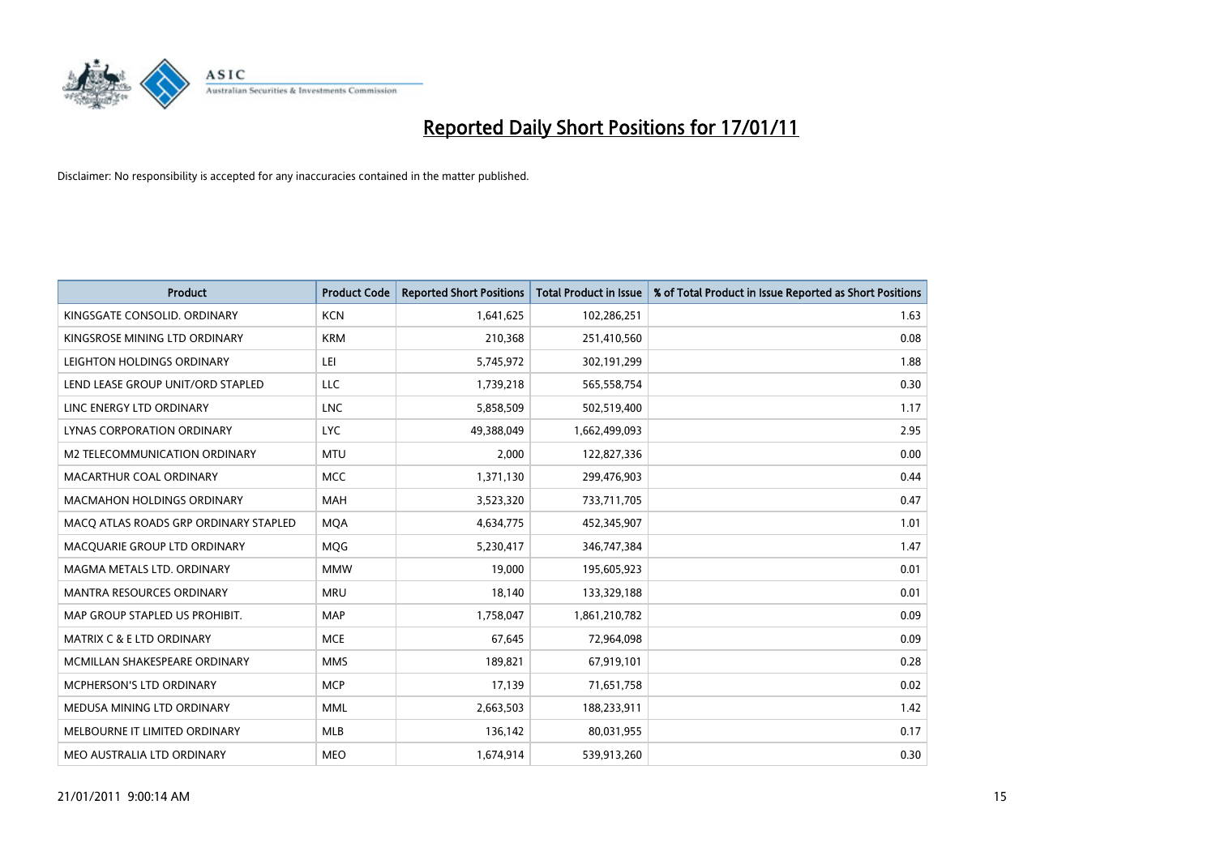

| <b>Product</b>                        | <b>Product Code</b> | <b>Reported Short Positions</b> | <b>Total Product in Issue</b> | % of Total Product in Issue Reported as Short Positions |
|---------------------------------------|---------------------|---------------------------------|-------------------------------|---------------------------------------------------------|
| KINGSGATE CONSOLID. ORDINARY          | <b>KCN</b>          | 1,641,625                       | 102,286,251                   | 1.63                                                    |
| KINGSROSE MINING LTD ORDINARY         | <b>KRM</b>          | 210,368                         | 251,410,560                   | 0.08                                                    |
| LEIGHTON HOLDINGS ORDINARY            | LEI                 | 5,745,972                       | 302,191,299                   | 1.88                                                    |
| LEND LEASE GROUP UNIT/ORD STAPLED     | LLC                 | 1,739,218                       | 565,558,754                   | 0.30                                                    |
| LINC ENERGY LTD ORDINARY              | <b>LNC</b>          | 5,858,509                       | 502,519,400                   | 1.17                                                    |
| LYNAS CORPORATION ORDINARY            | <b>LYC</b>          | 49,388,049                      | 1,662,499,093                 | 2.95                                                    |
| M2 TELECOMMUNICATION ORDINARY         | <b>MTU</b>          | 2,000                           | 122,827,336                   | 0.00                                                    |
| MACARTHUR COAL ORDINARY               | <b>MCC</b>          | 1,371,130                       | 299,476,903                   | 0.44                                                    |
| MACMAHON HOLDINGS ORDINARY            | <b>MAH</b>          | 3,523,320                       | 733,711,705                   | 0.47                                                    |
| MACO ATLAS ROADS GRP ORDINARY STAPLED | <b>MOA</b>          | 4,634,775                       | 452,345,907                   | 1.01                                                    |
| MACQUARIE GROUP LTD ORDINARY          | MQG                 | 5,230,417                       | 346,747,384                   | 1.47                                                    |
| MAGMA METALS LTD. ORDINARY            | <b>MMW</b>          | 19,000                          | 195,605,923                   | 0.01                                                    |
| <b>MANTRA RESOURCES ORDINARY</b>      | <b>MRU</b>          | 18,140                          | 133,329,188                   | 0.01                                                    |
| MAP GROUP STAPLED US PROHIBIT.        | <b>MAP</b>          | 1,758,047                       | 1,861,210,782                 | 0.09                                                    |
| <b>MATRIX C &amp; E LTD ORDINARY</b>  | <b>MCE</b>          | 67,645                          | 72,964,098                    | 0.09                                                    |
| MCMILLAN SHAKESPEARE ORDINARY         | <b>MMS</b>          | 189,821                         | 67,919,101                    | 0.28                                                    |
| <b>MCPHERSON'S LTD ORDINARY</b>       | <b>MCP</b>          | 17,139                          | 71,651,758                    | 0.02                                                    |
| MEDUSA MINING LTD ORDINARY            | <b>MML</b>          | 2,663,503                       | 188,233,911                   | 1.42                                                    |
| MELBOURNE IT LIMITED ORDINARY         | <b>MLB</b>          | 136,142                         | 80,031,955                    | 0.17                                                    |
| MEO AUSTRALIA LTD ORDINARY            | <b>MEO</b>          | 1,674,914                       | 539,913,260                   | 0.30                                                    |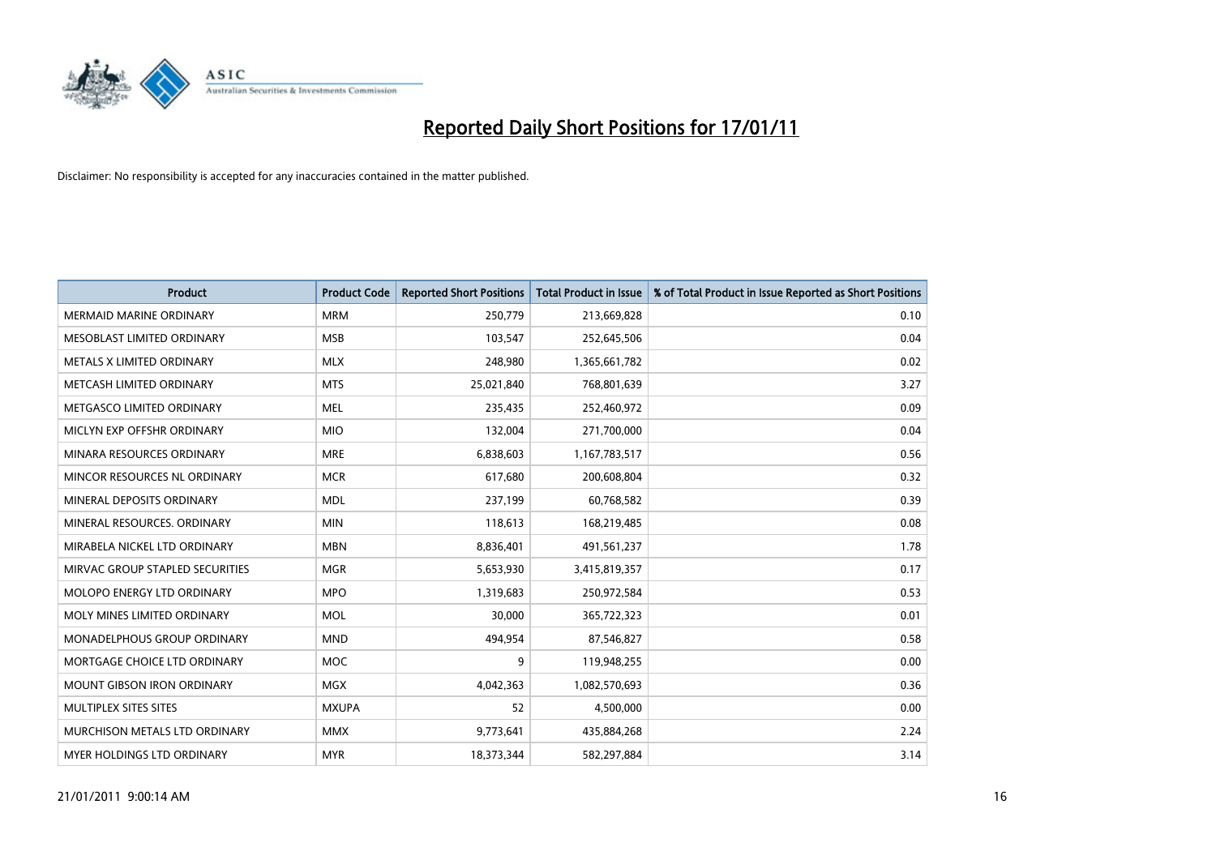

| Product                         | <b>Product Code</b> | <b>Reported Short Positions</b> | <b>Total Product in Issue</b> | % of Total Product in Issue Reported as Short Positions |
|---------------------------------|---------------------|---------------------------------|-------------------------------|---------------------------------------------------------|
| <b>MERMAID MARINE ORDINARY</b>  | <b>MRM</b>          | 250,779                         | 213,669,828                   | 0.10                                                    |
| MESOBLAST LIMITED ORDINARY      | <b>MSB</b>          | 103,547                         | 252,645,506                   | 0.04                                                    |
| METALS X LIMITED ORDINARY       | <b>MLX</b>          | 248,980                         | 1,365,661,782                 | 0.02                                                    |
| METCASH LIMITED ORDINARY        | <b>MTS</b>          | 25,021,840                      | 768,801,639                   | 3.27                                                    |
| METGASCO LIMITED ORDINARY       | <b>MEL</b>          | 235,435                         | 252,460,972                   | 0.09                                                    |
| MICLYN EXP OFFSHR ORDINARY      | <b>MIO</b>          | 132,004                         | 271,700,000                   | 0.04                                                    |
| MINARA RESOURCES ORDINARY       | <b>MRE</b>          | 6,838,603                       | 1,167,783,517                 | 0.56                                                    |
| MINCOR RESOURCES NL ORDINARY    | <b>MCR</b>          | 617,680                         | 200,608,804                   | 0.32                                                    |
| MINERAL DEPOSITS ORDINARY       | <b>MDL</b>          | 237,199                         | 60,768,582                    | 0.39                                                    |
| MINERAL RESOURCES, ORDINARY     | <b>MIN</b>          | 118,613                         | 168,219,485                   | 0.08                                                    |
| MIRABELA NICKEL LTD ORDINARY    | <b>MBN</b>          | 8,836,401                       | 491,561,237                   | 1.78                                                    |
| MIRVAC GROUP STAPLED SECURITIES | <b>MGR</b>          | 5,653,930                       | 3,415,819,357                 | 0.17                                                    |
| MOLOPO ENERGY LTD ORDINARY      | <b>MPO</b>          | 1,319,683                       | 250,972,584                   | 0.53                                                    |
| MOLY MINES LIMITED ORDINARY     | <b>MOL</b>          | 30,000                          | 365,722,323                   | 0.01                                                    |
| MONADELPHOUS GROUP ORDINARY     | <b>MND</b>          | 494,954                         | 87,546,827                    | 0.58                                                    |
| MORTGAGE CHOICE LTD ORDINARY    | <b>MOC</b>          | 9                               | 119,948,255                   | 0.00                                                    |
| MOUNT GIBSON IRON ORDINARY      | <b>MGX</b>          | 4,042,363                       | 1,082,570,693                 | 0.36                                                    |
| MULTIPLEX SITES SITES           | <b>MXUPA</b>        | 52                              | 4,500,000                     | 0.00                                                    |
| MURCHISON METALS LTD ORDINARY   | <b>MMX</b>          | 9,773,641                       | 435,884,268                   | 2.24                                                    |
| MYER HOLDINGS LTD ORDINARY      | <b>MYR</b>          | 18,373,344                      | 582,297,884                   | 3.14                                                    |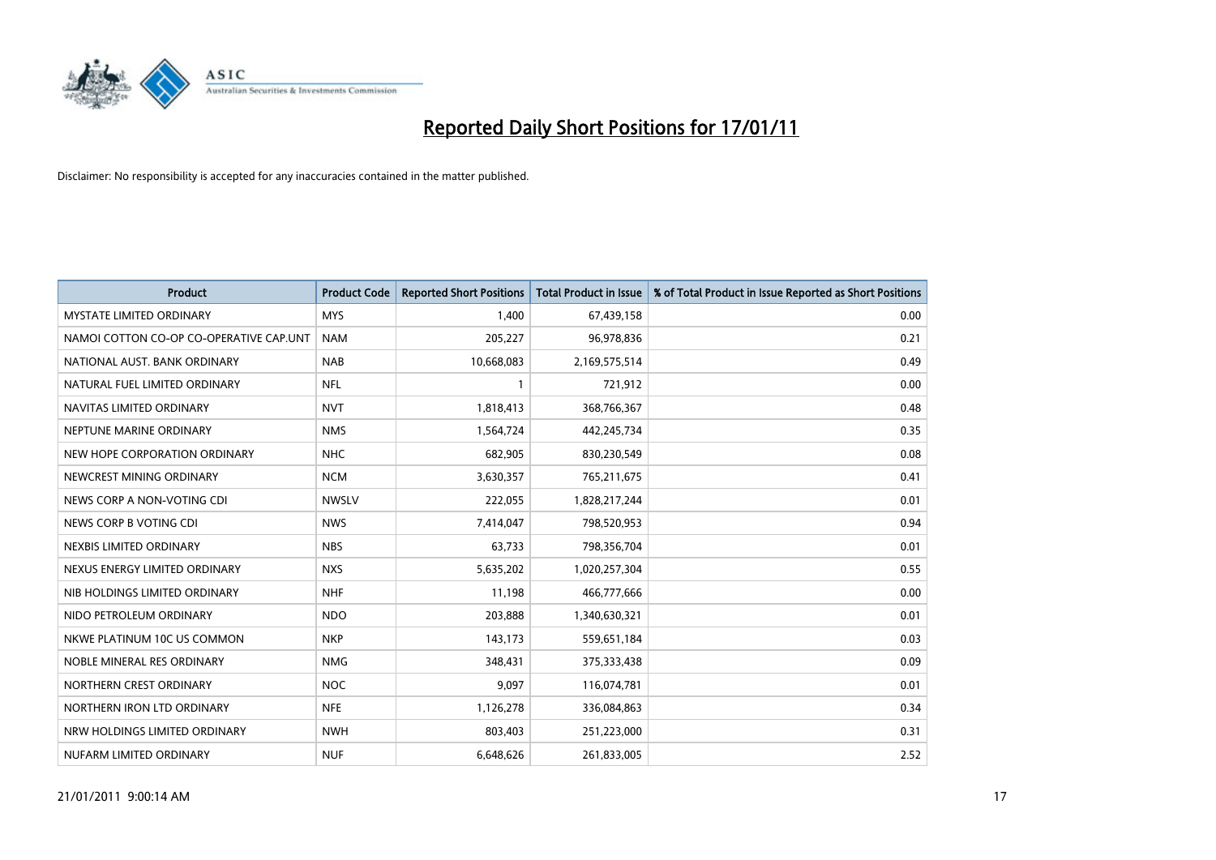

| <b>Product</b>                          | <b>Product Code</b> | <b>Reported Short Positions</b> | <b>Total Product in Issue</b> | % of Total Product in Issue Reported as Short Positions |
|-----------------------------------------|---------------------|---------------------------------|-------------------------------|---------------------------------------------------------|
| MYSTATE LIMITED ORDINARY                | <b>MYS</b>          | 1,400                           | 67,439,158                    | 0.00                                                    |
| NAMOI COTTON CO-OP CO-OPERATIVE CAP.UNT | <b>NAM</b>          | 205,227                         | 96,978,836                    | 0.21                                                    |
| NATIONAL AUST. BANK ORDINARY            | <b>NAB</b>          | 10,668,083                      | 2,169,575,514                 | 0.49                                                    |
| NATURAL FUEL LIMITED ORDINARY           | <b>NFL</b>          |                                 | 721,912                       | 0.00                                                    |
| NAVITAS LIMITED ORDINARY                | <b>NVT</b>          | 1,818,413                       | 368,766,367                   | 0.48                                                    |
| NEPTUNE MARINE ORDINARY                 | <b>NMS</b>          | 1,564,724                       | 442,245,734                   | 0.35                                                    |
| NEW HOPE CORPORATION ORDINARY           | <b>NHC</b>          | 682,905                         | 830,230,549                   | 0.08                                                    |
| NEWCREST MINING ORDINARY                | <b>NCM</b>          | 3,630,357                       | 765,211,675                   | 0.41                                                    |
| NEWS CORP A NON-VOTING CDI              | <b>NWSLV</b>        | 222,055                         | 1,828,217,244                 | 0.01                                                    |
| NEWS CORP B VOTING CDI                  | <b>NWS</b>          | 7,414,047                       | 798,520,953                   | 0.94                                                    |
| NEXBIS LIMITED ORDINARY                 | <b>NBS</b>          | 63,733                          | 798,356,704                   | 0.01                                                    |
| NEXUS ENERGY LIMITED ORDINARY           | <b>NXS</b>          | 5,635,202                       | 1,020,257,304                 | 0.55                                                    |
| NIB HOLDINGS LIMITED ORDINARY           | <b>NHF</b>          | 11,198                          | 466,777,666                   | 0.00                                                    |
| NIDO PETROLEUM ORDINARY                 | <b>NDO</b>          | 203,888                         | 1,340,630,321                 | 0.01                                                    |
| NKWE PLATINUM 10C US COMMON             | <b>NKP</b>          | 143,173                         | 559,651,184                   | 0.03                                                    |
| NOBLE MINERAL RES ORDINARY              | <b>NMG</b>          | 348,431                         | 375,333,438                   | 0.09                                                    |
| NORTHERN CREST ORDINARY                 | <b>NOC</b>          | 9,097                           | 116,074,781                   | 0.01                                                    |
| NORTHERN IRON LTD ORDINARY              | <b>NFE</b>          | 1,126,278                       | 336,084,863                   | 0.34                                                    |
| NRW HOLDINGS LIMITED ORDINARY           | <b>NWH</b>          | 803,403                         | 251,223,000                   | 0.31                                                    |
| NUFARM LIMITED ORDINARY                 | <b>NUF</b>          | 6,648,626                       | 261,833,005                   | 2.52                                                    |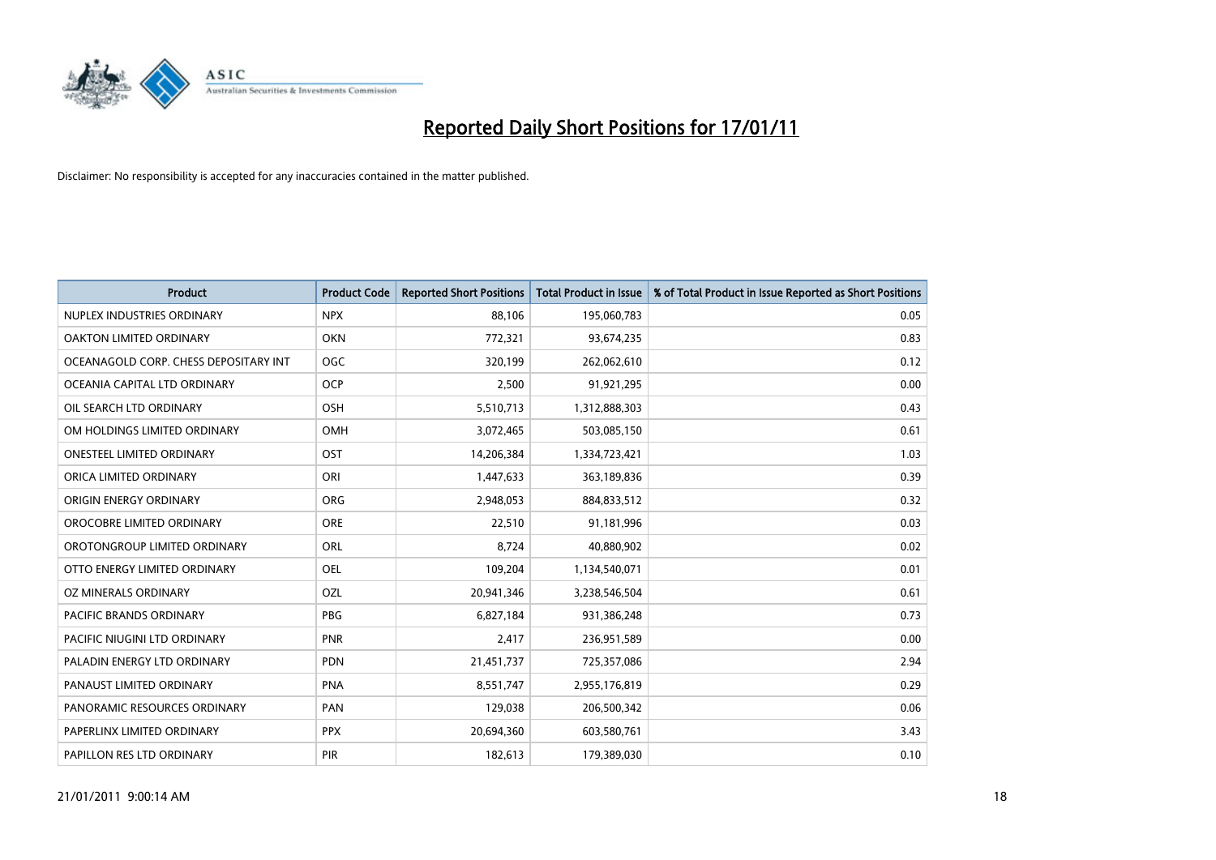

| <b>Product</b>                        | <b>Product Code</b> | <b>Reported Short Positions</b> | Total Product in Issue | % of Total Product in Issue Reported as Short Positions |
|---------------------------------------|---------------------|---------------------------------|------------------------|---------------------------------------------------------|
| NUPLEX INDUSTRIES ORDINARY            | <b>NPX</b>          | 88,106                          | 195,060,783            | 0.05                                                    |
| OAKTON LIMITED ORDINARY               | <b>OKN</b>          | 772,321                         | 93,674,235             | 0.83                                                    |
| OCEANAGOLD CORP. CHESS DEPOSITARY INT | OGC                 | 320,199                         | 262,062,610            | 0.12                                                    |
| OCEANIA CAPITAL LTD ORDINARY          | <b>OCP</b>          | 2,500                           | 91,921,295             | 0.00                                                    |
| OIL SEARCH LTD ORDINARY               | OSH                 | 5,510,713                       | 1,312,888,303          | 0.43                                                    |
| OM HOLDINGS LIMITED ORDINARY          | OMH                 | 3,072,465                       | 503,085,150            | 0.61                                                    |
| <b>ONESTEEL LIMITED ORDINARY</b>      | OST                 | 14,206,384                      | 1,334,723,421          | 1.03                                                    |
| ORICA LIMITED ORDINARY                | ORI                 | 1,447,633                       | 363,189,836            | 0.39                                                    |
| ORIGIN ENERGY ORDINARY                | <b>ORG</b>          | 2,948,053                       | 884,833,512            | 0.32                                                    |
| OROCOBRE LIMITED ORDINARY             | <b>ORE</b>          | 22,510                          | 91,181,996             | 0.03                                                    |
| OROTONGROUP LIMITED ORDINARY          | <b>ORL</b>          | 8,724                           | 40,880,902             | 0.02                                                    |
| OTTO ENERGY LIMITED ORDINARY          | OEL                 | 109,204                         | 1,134,540,071          | 0.01                                                    |
| OZ MINERALS ORDINARY                  | OZL                 | 20,941,346                      | 3,238,546,504          | 0.61                                                    |
| <b>PACIFIC BRANDS ORDINARY</b>        | <b>PBG</b>          | 6.827.184                       | 931,386,248            | 0.73                                                    |
| PACIFIC NIUGINI LTD ORDINARY          | <b>PNR</b>          | 2,417                           | 236,951,589            | 0.00                                                    |
| PALADIN ENERGY LTD ORDINARY           | <b>PDN</b>          | 21,451,737                      | 725,357,086            | 2.94                                                    |
| PANAUST LIMITED ORDINARY              | <b>PNA</b>          | 8,551,747                       | 2,955,176,819          | 0.29                                                    |
| PANORAMIC RESOURCES ORDINARY          | PAN                 | 129,038                         | 206,500,342            | 0.06                                                    |
| PAPERLINX LIMITED ORDINARY            | <b>PPX</b>          | 20,694,360                      | 603,580,761            | 3.43                                                    |
| PAPILLON RES LTD ORDINARY             | PIR                 | 182,613                         | 179,389,030            | 0.10                                                    |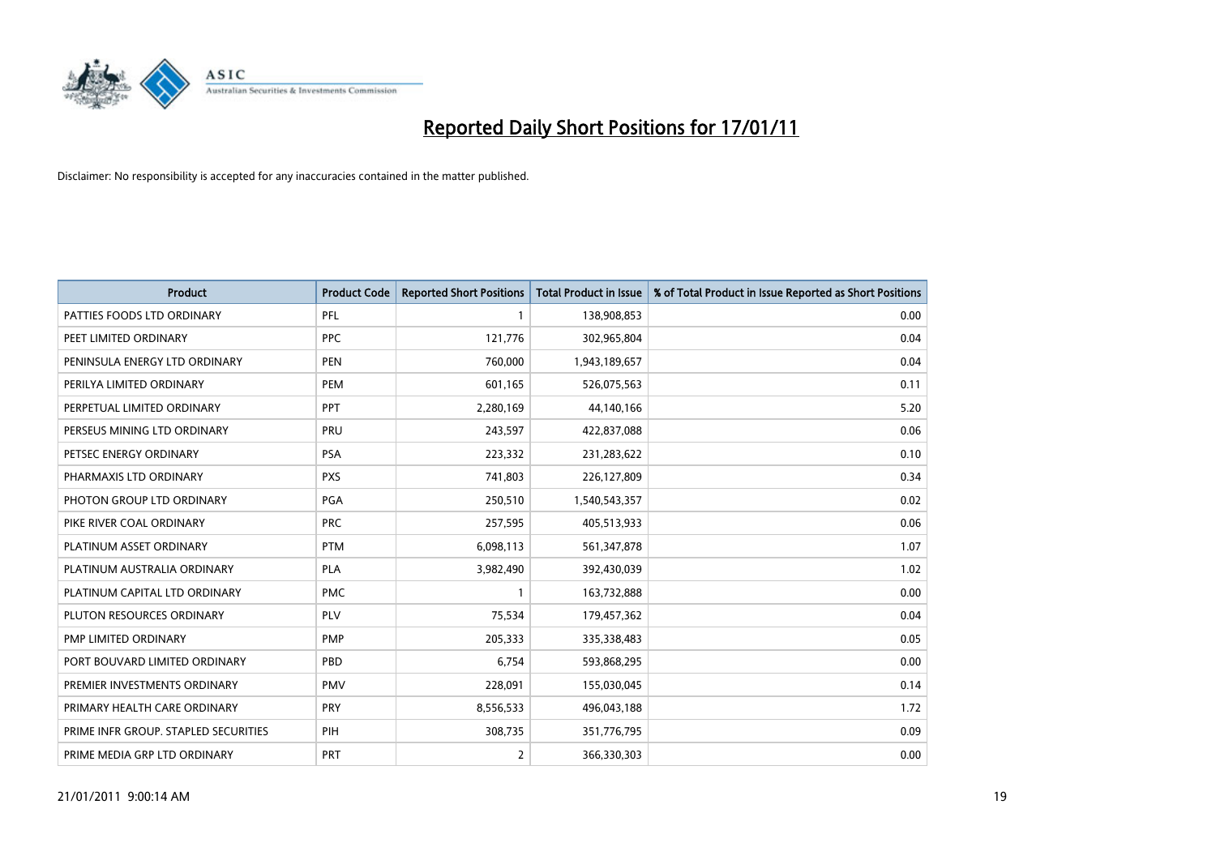

| <b>Product</b>                       | <b>Product Code</b> | <b>Reported Short Positions</b> | <b>Total Product in Issue</b> | % of Total Product in Issue Reported as Short Positions |
|--------------------------------------|---------------------|---------------------------------|-------------------------------|---------------------------------------------------------|
| PATTIES FOODS LTD ORDINARY           | PFL                 |                                 | 138,908,853                   | 0.00                                                    |
| PEET LIMITED ORDINARY                | <b>PPC</b>          | 121,776                         | 302,965,804                   | 0.04                                                    |
| PENINSULA ENERGY LTD ORDINARY        | <b>PEN</b>          | 760,000                         | 1,943,189,657                 | 0.04                                                    |
| PERILYA LIMITED ORDINARY             | PEM                 | 601,165                         | 526,075,563                   | 0.11                                                    |
| PERPETUAL LIMITED ORDINARY           | <b>PPT</b>          | 2,280,169                       | 44,140,166                    | 5.20                                                    |
| PERSEUS MINING LTD ORDINARY          | PRU                 | 243,597                         | 422,837,088                   | 0.06                                                    |
| PETSEC ENERGY ORDINARY               | <b>PSA</b>          | 223,332                         | 231,283,622                   | 0.10                                                    |
| PHARMAXIS LTD ORDINARY               | <b>PXS</b>          | 741,803                         | 226,127,809                   | 0.34                                                    |
| PHOTON GROUP LTD ORDINARY            | PGA                 | 250,510                         | 1,540,543,357                 | 0.02                                                    |
| PIKE RIVER COAL ORDINARY             | <b>PRC</b>          | 257,595                         | 405,513,933                   | 0.06                                                    |
| PLATINUM ASSET ORDINARY              | <b>PTM</b>          | 6,098,113                       | 561,347,878                   | 1.07                                                    |
| PLATINUM AUSTRALIA ORDINARY          | <b>PLA</b>          | 3,982,490                       | 392,430,039                   | 1.02                                                    |
| PLATINUM CAPITAL LTD ORDINARY        | <b>PMC</b>          |                                 | 163,732,888                   | 0.00                                                    |
| PLUTON RESOURCES ORDINARY            | PLV                 | 75,534                          | 179,457,362                   | 0.04                                                    |
| PMP LIMITED ORDINARY                 | <b>PMP</b>          | 205,333                         | 335,338,483                   | 0.05                                                    |
| PORT BOUVARD LIMITED ORDINARY        | PBD                 | 6,754                           | 593,868,295                   | 0.00                                                    |
| PREMIER INVESTMENTS ORDINARY         | <b>PMV</b>          | 228,091                         | 155,030,045                   | 0.14                                                    |
| PRIMARY HEALTH CARE ORDINARY         | <b>PRY</b>          | 8,556,533                       | 496,043,188                   | 1.72                                                    |
| PRIME INFR GROUP. STAPLED SECURITIES | PIH                 | 308,735                         | 351,776,795                   | 0.09                                                    |
| PRIME MEDIA GRP LTD ORDINARY         | PRT                 | 2                               | 366,330,303                   | 0.00                                                    |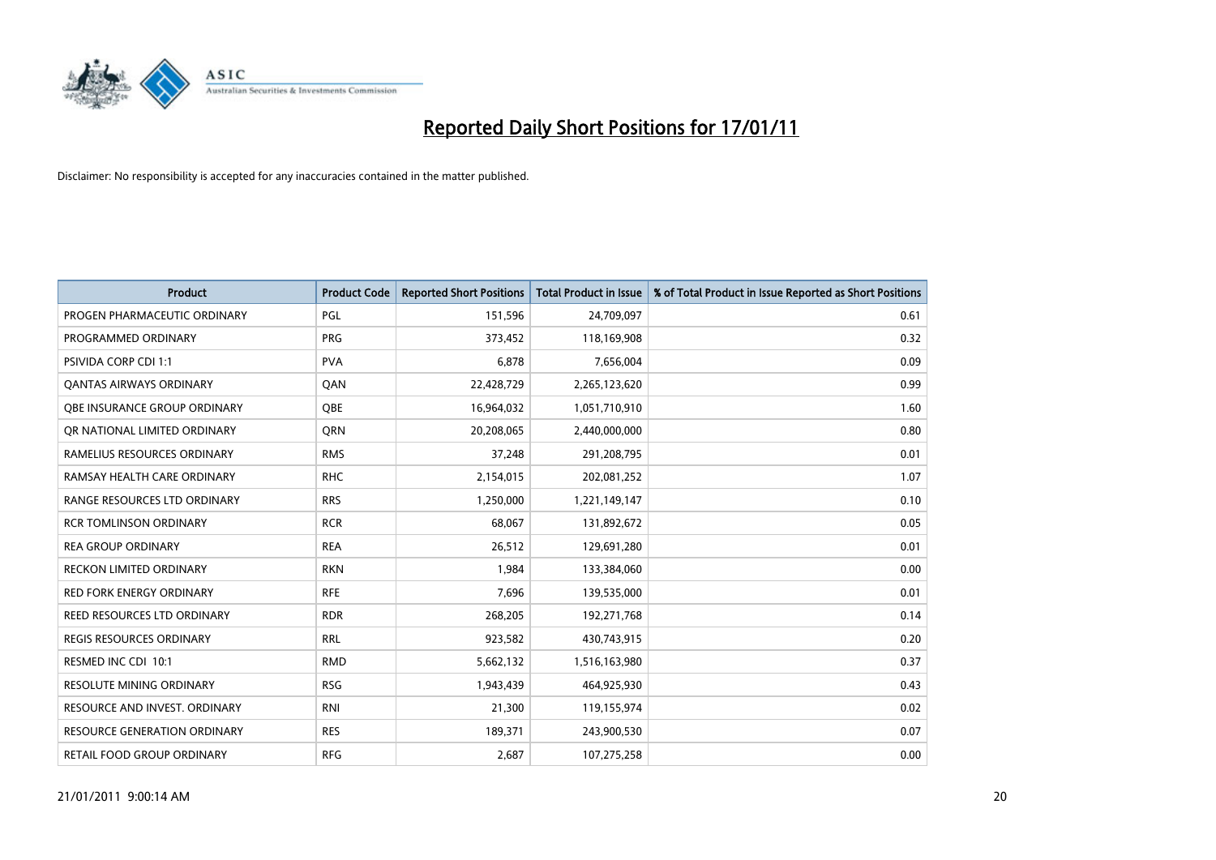

| <b>Product</b>                      | <b>Product Code</b> | <b>Reported Short Positions</b> | <b>Total Product in Issue</b> | % of Total Product in Issue Reported as Short Positions |
|-------------------------------------|---------------------|---------------------------------|-------------------------------|---------------------------------------------------------|
| PROGEN PHARMACEUTIC ORDINARY        | PGL                 | 151,596                         | 24,709,097                    | 0.61                                                    |
| PROGRAMMED ORDINARY                 | <b>PRG</b>          | 373,452                         | 118,169,908                   | 0.32                                                    |
| <b>PSIVIDA CORP CDI 1:1</b>         | <b>PVA</b>          | 6,878                           | 7,656,004                     | 0.09                                                    |
| <b>QANTAS AIRWAYS ORDINARY</b>      | QAN                 | 22,428,729                      | 2,265,123,620                 | 0.99                                                    |
| OBE INSURANCE GROUP ORDINARY        | <b>OBE</b>          | 16,964,032                      | 1,051,710,910                 | 1.60                                                    |
| OR NATIONAL LIMITED ORDINARY        | <b>ORN</b>          | 20,208,065                      | 2,440,000,000                 | 0.80                                                    |
| RAMELIUS RESOURCES ORDINARY         | <b>RMS</b>          | 37,248                          | 291,208,795                   | 0.01                                                    |
| RAMSAY HEALTH CARE ORDINARY         | <b>RHC</b>          | 2,154,015                       | 202,081,252                   | 1.07                                                    |
| RANGE RESOURCES LTD ORDINARY        | <b>RRS</b>          | 1,250,000                       | 1,221,149,147                 | 0.10                                                    |
| <b>RCR TOMLINSON ORDINARY</b>       | <b>RCR</b>          | 68,067                          | 131,892,672                   | 0.05                                                    |
| <b>REA GROUP ORDINARY</b>           | <b>REA</b>          | 26,512                          | 129,691,280                   | 0.01                                                    |
| <b>RECKON LIMITED ORDINARY</b>      | <b>RKN</b>          | 1,984                           | 133,384,060                   | 0.00                                                    |
| <b>RED FORK ENERGY ORDINARY</b>     | <b>RFE</b>          | 7,696                           | 139,535,000                   | 0.01                                                    |
| REED RESOURCES LTD ORDINARY         | <b>RDR</b>          | 268,205                         | 192,271,768                   | 0.14                                                    |
| <b>REGIS RESOURCES ORDINARY</b>     | <b>RRL</b>          | 923,582                         | 430,743,915                   | 0.20                                                    |
| RESMED INC CDI 10:1                 | <b>RMD</b>          | 5,662,132                       | 1,516,163,980                 | 0.37                                                    |
| <b>RESOLUTE MINING ORDINARY</b>     | <b>RSG</b>          | 1,943,439                       | 464,925,930                   | 0.43                                                    |
| RESOURCE AND INVEST. ORDINARY       | <b>RNI</b>          | 21,300                          | 119,155,974                   | 0.02                                                    |
| <b>RESOURCE GENERATION ORDINARY</b> | <b>RES</b>          | 189,371                         | 243,900,530                   | 0.07                                                    |
| RETAIL FOOD GROUP ORDINARY          | <b>RFG</b>          | 2,687                           | 107,275,258                   | 0.00                                                    |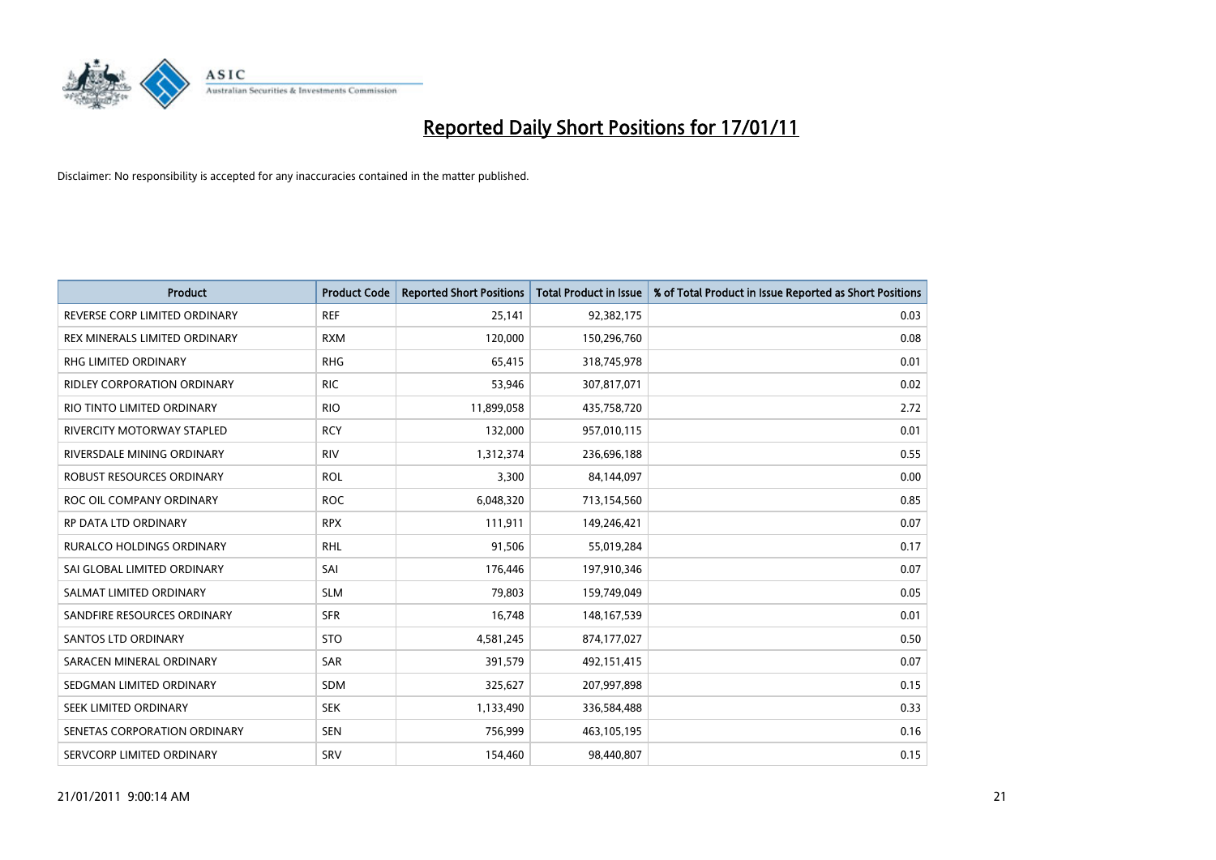

| <b>Product</b>                    | <b>Product Code</b> | <b>Reported Short Positions</b> | Total Product in Issue | % of Total Product in Issue Reported as Short Positions |
|-----------------------------------|---------------------|---------------------------------|------------------------|---------------------------------------------------------|
| REVERSE CORP LIMITED ORDINARY     | <b>REF</b>          | 25,141                          | 92,382,175             | 0.03                                                    |
| REX MINERALS LIMITED ORDINARY     | <b>RXM</b>          | 120,000                         | 150,296,760            | 0.08                                                    |
| <b>RHG LIMITED ORDINARY</b>       | <b>RHG</b>          | 65,415                          | 318,745,978            | 0.01                                                    |
| RIDLEY CORPORATION ORDINARY       | <b>RIC</b>          | 53,946                          | 307,817,071            | 0.02                                                    |
| RIO TINTO LIMITED ORDINARY        | <b>RIO</b>          | 11,899,058                      | 435,758,720            | 2.72                                                    |
| <b>RIVERCITY MOTORWAY STAPLED</b> | <b>RCY</b>          | 132,000                         | 957,010,115            | 0.01                                                    |
| RIVERSDALE MINING ORDINARY        | <b>RIV</b>          | 1,312,374                       | 236,696,188            | 0.55                                                    |
| ROBUST RESOURCES ORDINARY         | <b>ROL</b>          | 3,300                           | 84,144,097             | 0.00                                                    |
| ROC OIL COMPANY ORDINARY          | <b>ROC</b>          | 6,048,320                       | 713,154,560            | 0.85                                                    |
| RP DATA LTD ORDINARY              | <b>RPX</b>          | 111,911                         | 149,246,421            | 0.07                                                    |
| <b>RURALCO HOLDINGS ORDINARY</b>  | <b>RHL</b>          | 91,506                          | 55,019,284             | 0.17                                                    |
| SAI GLOBAL LIMITED ORDINARY       | SAI                 | 176,446                         | 197,910,346            | 0.07                                                    |
| SALMAT LIMITED ORDINARY           | <b>SLM</b>          | 79.803                          | 159,749,049            | 0.05                                                    |
| SANDFIRE RESOURCES ORDINARY       | <b>SFR</b>          | 16,748                          | 148, 167, 539          | 0.01                                                    |
| <b>SANTOS LTD ORDINARY</b>        | <b>STO</b>          | 4,581,245                       | 874,177,027            | 0.50                                                    |
| SARACEN MINERAL ORDINARY          | SAR                 | 391,579                         | 492,151,415            | 0.07                                                    |
| SEDGMAN LIMITED ORDINARY          | <b>SDM</b>          | 325,627                         | 207,997,898            | 0.15                                                    |
| SEEK LIMITED ORDINARY             | <b>SEK</b>          | 1,133,490                       | 336,584,488            | 0.33                                                    |
| SENETAS CORPORATION ORDINARY      | <b>SEN</b>          | 756,999                         | 463,105,195            | 0.16                                                    |
| SERVCORP LIMITED ORDINARY         | SRV                 | 154,460                         | 98,440,807             | 0.15                                                    |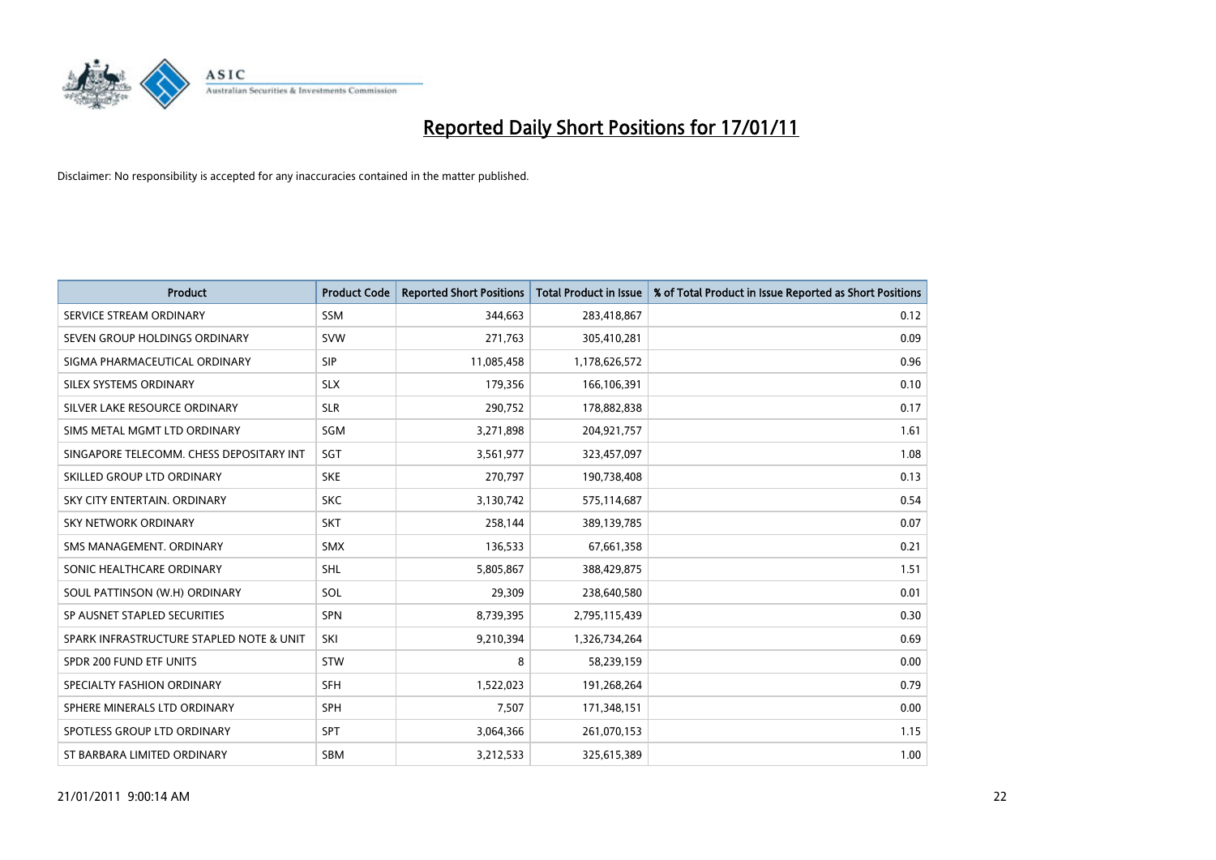

| <b>Product</b>                           | <b>Product Code</b> | <b>Reported Short Positions</b> | Total Product in Issue | % of Total Product in Issue Reported as Short Positions |
|------------------------------------------|---------------------|---------------------------------|------------------------|---------------------------------------------------------|
| SERVICE STREAM ORDINARY                  | <b>SSM</b>          | 344,663                         | 283,418,867            | 0.12                                                    |
| SEVEN GROUP HOLDINGS ORDINARY            | <b>SVW</b>          | 271,763                         | 305,410,281            | 0.09                                                    |
| SIGMA PHARMACEUTICAL ORDINARY            | <b>SIP</b>          | 11,085,458                      | 1,178,626,572          | 0.96                                                    |
| SILEX SYSTEMS ORDINARY                   | <b>SLX</b>          | 179,356                         | 166,106,391            | 0.10                                                    |
| SILVER LAKE RESOURCE ORDINARY            | <b>SLR</b>          | 290,752                         | 178,882,838            | 0.17                                                    |
| SIMS METAL MGMT LTD ORDINARY             | SGM                 | 3,271,898                       | 204,921,757            | 1.61                                                    |
| SINGAPORE TELECOMM. CHESS DEPOSITARY INT | SGT                 | 3,561,977                       | 323,457,097            | 1.08                                                    |
| SKILLED GROUP LTD ORDINARY               | <b>SKE</b>          | 270,797                         | 190,738,408            | 0.13                                                    |
| SKY CITY ENTERTAIN, ORDINARY             | <b>SKC</b>          | 3,130,742                       | 575,114,687            | 0.54                                                    |
| <b>SKY NETWORK ORDINARY</b>              | <b>SKT</b>          | 258,144                         | 389,139,785            | 0.07                                                    |
| SMS MANAGEMENT, ORDINARY                 | <b>SMX</b>          | 136,533                         | 67,661,358             | 0.21                                                    |
| SONIC HEALTHCARE ORDINARY                | <b>SHL</b>          | 5,805,867                       | 388,429,875            | 1.51                                                    |
| SOUL PATTINSON (W.H) ORDINARY            | SOL                 | 29,309                          | 238,640,580            | 0.01                                                    |
| SP AUSNET STAPLED SECURITIES             | SPN                 | 8,739,395                       | 2,795,115,439          | 0.30                                                    |
| SPARK INFRASTRUCTURE STAPLED NOTE & UNIT | SKI                 | 9,210,394                       | 1,326,734,264          | 0.69                                                    |
| SPDR 200 FUND ETF UNITS                  | <b>STW</b>          | 8                               | 58,239,159             | 0.00                                                    |
| SPECIALTY FASHION ORDINARY               | <b>SFH</b>          | 1,522,023                       | 191,268,264            | 0.79                                                    |
| SPHERE MINERALS LTD ORDINARY             | <b>SPH</b>          | 7,507                           | 171,348,151            | 0.00                                                    |
| SPOTLESS GROUP LTD ORDINARY              | <b>SPT</b>          | 3,064,366                       | 261,070,153            | 1.15                                                    |
| ST BARBARA LIMITED ORDINARY              | <b>SBM</b>          | 3,212,533                       | 325,615,389            | 1.00                                                    |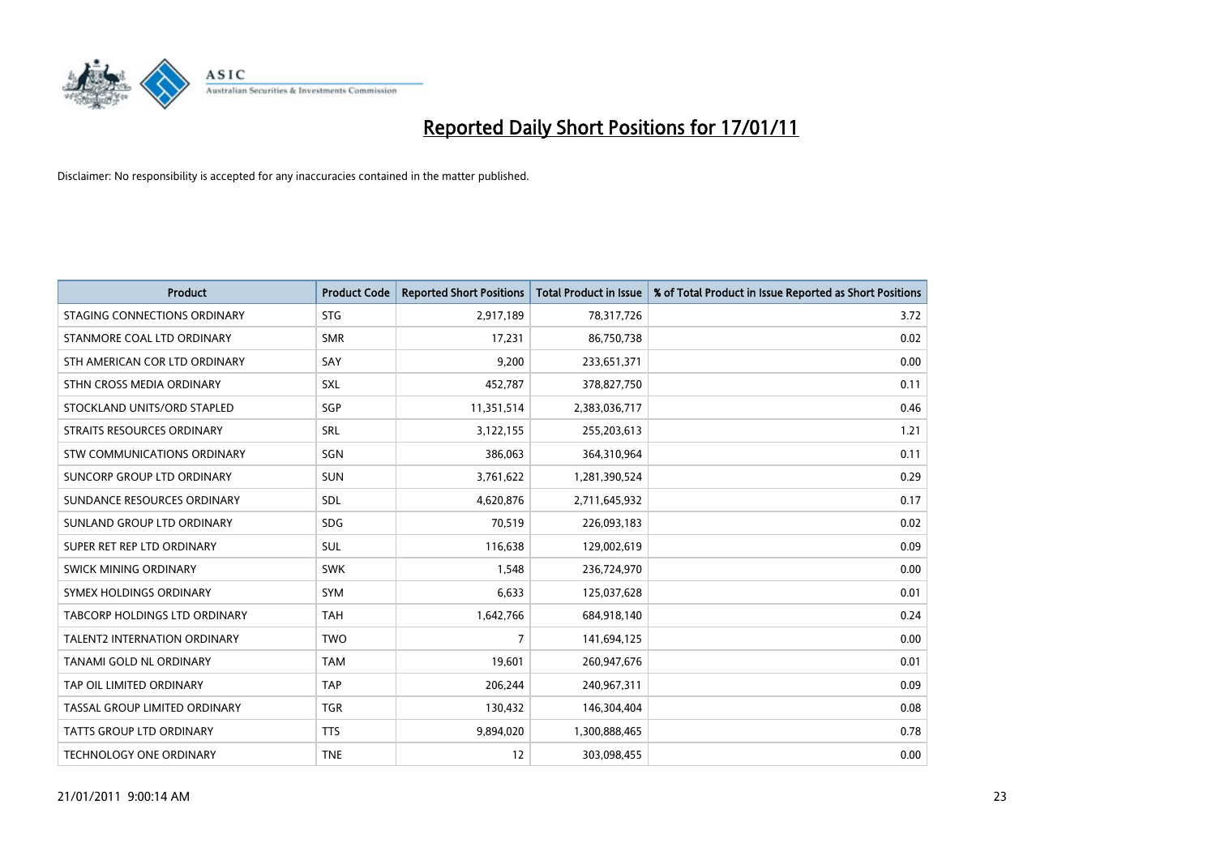

| <b>Product</b>                       | <b>Product Code</b> | <b>Reported Short Positions</b> | Total Product in Issue | % of Total Product in Issue Reported as Short Positions |
|--------------------------------------|---------------------|---------------------------------|------------------------|---------------------------------------------------------|
| STAGING CONNECTIONS ORDINARY         | <b>STG</b>          | 2,917,189                       | 78,317,726             | 3.72                                                    |
| STANMORE COAL LTD ORDINARY           | <b>SMR</b>          | 17,231                          | 86,750,738             | 0.02                                                    |
| STH AMERICAN COR LTD ORDINARY        | SAY                 | 9,200                           | 233,651,371            | 0.00                                                    |
| STHN CROSS MEDIA ORDINARY            | SXL                 | 452,787                         | 378,827,750            | 0.11                                                    |
| STOCKLAND UNITS/ORD STAPLED          | SGP                 | 11,351,514                      | 2,383,036,717          | 0.46                                                    |
| STRAITS RESOURCES ORDINARY           | SRL                 | 3,122,155                       | 255,203,613            | 1.21                                                    |
| <b>STW COMMUNICATIONS ORDINARY</b>   | SGN                 | 386,063                         | 364,310,964            | 0.11                                                    |
| SUNCORP GROUP LTD ORDINARY           | <b>SUN</b>          | 3,761,622                       | 1,281,390,524          | 0.29                                                    |
| SUNDANCE RESOURCES ORDINARY          | SDL                 | 4,620,876                       | 2,711,645,932          | 0.17                                                    |
| SUNLAND GROUP LTD ORDINARY           | <b>SDG</b>          | 70,519                          | 226,093,183            | 0.02                                                    |
| SUPER RET REP LTD ORDINARY           | <b>SUL</b>          | 116,638                         | 129,002,619            | 0.09                                                    |
| SWICK MINING ORDINARY                | <b>SWK</b>          | 1,548                           | 236,724,970            | 0.00                                                    |
| SYMEX HOLDINGS ORDINARY              | <b>SYM</b>          | 6,633                           | 125,037,628            | 0.01                                                    |
| <b>TABCORP HOLDINGS LTD ORDINARY</b> | <b>TAH</b>          | 1,642,766                       | 684,918,140            | 0.24                                                    |
| <b>TALENT2 INTERNATION ORDINARY</b>  | <b>TWO</b>          | $\overline{7}$                  | 141,694,125            | 0.00                                                    |
| TANAMI GOLD NL ORDINARY              | <b>TAM</b>          | 19,601                          | 260,947,676            | 0.01                                                    |
| TAP OIL LIMITED ORDINARY             | <b>TAP</b>          | 206,244                         | 240,967,311            | 0.09                                                    |
| TASSAL GROUP LIMITED ORDINARY        | <b>TGR</b>          | 130,432                         | 146,304,404            | 0.08                                                    |
| <b>TATTS GROUP LTD ORDINARY</b>      | <b>TTS</b>          | 9,894,020                       | 1,300,888,465          | 0.78                                                    |
| TECHNOLOGY ONE ORDINARY              | <b>TNE</b>          | 12                              | 303,098,455            | 0.00                                                    |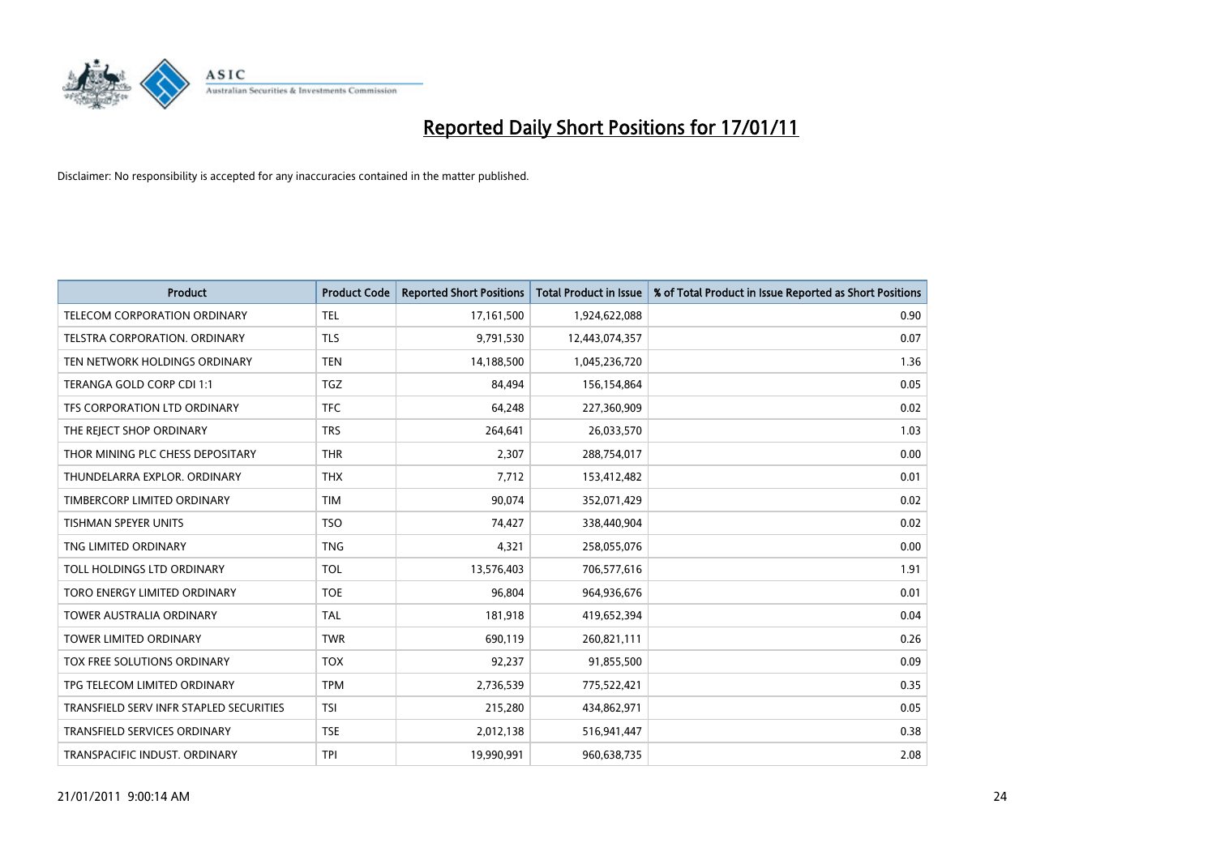

| <b>Product</b>                          | <b>Product Code</b> | <b>Reported Short Positions</b> | <b>Total Product in Issue</b> | % of Total Product in Issue Reported as Short Positions |
|-----------------------------------------|---------------------|---------------------------------|-------------------------------|---------------------------------------------------------|
| TELECOM CORPORATION ORDINARY            | <b>TEL</b>          | 17,161,500                      | 1,924,622,088                 | 0.90                                                    |
| TELSTRA CORPORATION. ORDINARY           | <b>TLS</b>          | 9,791,530                       | 12,443,074,357                | 0.07                                                    |
| TEN NETWORK HOLDINGS ORDINARY           | <b>TEN</b>          | 14,188,500                      | 1,045,236,720                 | 1.36                                                    |
| TERANGA GOLD CORP CDI 1:1               | <b>TGZ</b>          | 84,494                          | 156,154,864                   | 0.05                                                    |
| TFS CORPORATION LTD ORDINARY            | <b>TFC</b>          | 64,248                          | 227,360,909                   | 0.02                                                    |
| THE REJECT SHOP ORDINARY                | <b>TRS</b>          | 264,641                         | 26,033,570                    | 1.03                                                    |
| THOR MINING PLC CHESS DEPOSITARY        | <b>THR</b>          | 2,307                           | 288,754,017                   | 0.00                                                    |
| THUNDELARRA EXPLOR, ORDINARY            | <b>THX</b>          | 7,712                           | 153,412,482                   | 0.01                                                    |
| TIMBERCORP LIMITED ORDINARY             | <b>TIM</b>          | 90,074                          | 352,071,429                   | 0.02                                                    |
| <b>TISHMAN SPEYER UNITS</b>             | <b>TSO</b>          | 74,427                          | 338,440,904                   | 0.02                                                    |
| TNG LIMITED ORDINARY                    | <b>TNG</b>          | 4,321                           | 258,055,076                   | 0.00                                                    |
| TOLL HOLDINGS LTD ORDINARY              | <b>TOL</b>          | 13,576,403                      | 706,577,616                   | 1.91                                                    |
| TORO ENERGY LIMITED ORDINARY            | <b>TOE</b>          | 96,804                          | 964,936,676                   | 0.01                                                    |
| <b>TOWER AUSTRALIA ORDINARY</b>         | <b>TAL</b>          | 181,918                         | 419,652,394                   | 0.04                                                    |
| <b>TOWER LIMITED ORDINARY</b>           | <b>TWR</b>          | 690,119                         | 260,821,111                   | 0.26                                                    |
| TOX FREE SOLUTIONS ORDINARY             | <b>TOX</b>          | 92,237                          | 91,855,500                    | 0.09                                                    |
| TPG TELECOM LIMITED ORDINARY            | <b>TPM</b>          | 2,736,539                       | 775,522,421                   | 0.35                                                    |
| TRANSFIELD SERV INFR STAPLED SECURITIES | <b>TSI</b>          | 215,280                         | 434,862,971                   | 0.05                                                    |
| <b>TRANSFIELD SERVICES ORDINARY</b>     | <b>TSE</b>          | 2,012,138                       | 516,941,447                   | 0.38                                                    |
| TRANSPACIFIC INDUST. ORDINARY           | <b>TPI</b>          | 19,990,991                      | 960,638,735                   | 2.08                                                    |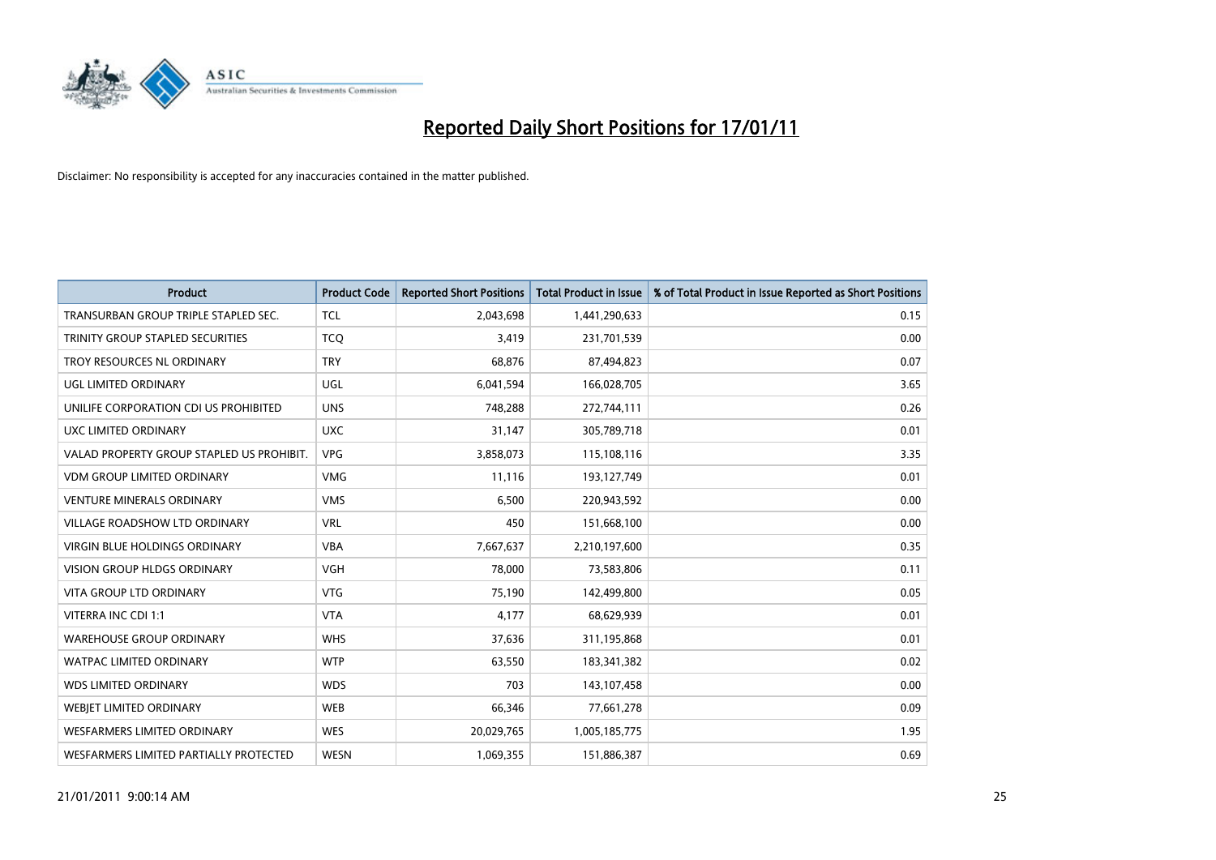

| <b>Product</b>                            | <b>Product Code</b> | <b>Reported Short Positions</b> | Total Product in Issue | % of Total Product in Issue Reported as Short Positions |
|-------------------------------------------|---------------------|---------------------------------|------------------------|---------------------------------------------------------|
| TRANSURBAN GROUP TRIPLE STAPLED SEC.      | <b>TCL</b>          | 2,043,698                       | 1,441,290,633          | 0.15                                                    |
| TRINITY GROUP STAPLED SECURITIES          | <b>TCO</b>          | 3,419                           | 231,701,539            | 0.00                                                    |
| TROY RESOURCES NL ORDINARY                | <b>TRY</b>          | 68.876                          | 87,494,823             | 0.07                                                    |
| UGL LIMITED ORDINARY                      | <b>UGL</b>          | 6,041,594                       | 166,028,705            | 3.65                                                    |
| UNILIFE CORPORATION CDI US PROHIBITED     | <b>UNS</b>          | 748,288                         | 272,744,111            | 0.26                                                    |
| UXC LIMITED ORDINARY                      | <b>UXC</b>          | 31,147                          | 305,789,718            | 0.01                                                    |
| VALAD PROPERTY GROUP STAPLED US PROHIBIT. | <b>VPG</b>          | 3,858,073                       | 115,108,116            | 3.35                                                    |
| <b>VDM GROUP LIMITED ORDINARY</b>         | <b>VMG</b>          | 11,116                          | 193,127,749            | 0.01                                                    |
| VENTURE MINERALS ORDINARY                 | <b>VMS</b>          | 6,500                           | 220,943,592            | 0.00                                                    |
| <b>VILLAGE ROADSHOW LTD ORDINARY</b>      | <b>VRL</b>          | 450                             | 151,668,100            | 0.00                                                    |
| <b>VIRGIN BLUE HOLDINGS ORDINARY</b>      | <b>VBA</b>          | 7,667,637                       | 2,210,197,600          | 0.35                                                    |
| <b>VISION GROUP HLDGS ORDINARY</b>        | <b>VGH</b>          | 78,000                          | 73,583,806             | 0.11                                                    |
| <b>VITA GROUP LTD ORDINARY</b>            | <b>VTG</b>          | 75,190                          | 142,499,800            | 0.05                                                    |
| VITERRA INC CDI 1:1                       | <b>VTA</b>          | 4,177                           | 68,629,939             | 0.01                                                    |
| <b>WAREHOUSE GROUP ORDINARY</b>           | <b>WHS</b>          | 37,636                          | 311,195,868            | 0.01                                                    |
| <b>WATPAC LIMITED ORDINARY</b>            | <b>WTP</b>          | 63,550                          | 183,341,382            | 0.02                                                    |
| <b>WDS LIMITED ORDINARY</b>               | <b>WDS</b>          | 703                             | 143,107,458            | 0.00                                                    |
| WEBJET LIMITED ORDINARY                   | <b>WEB</b>          | 66,346                          | 77,661,278             | 0.09                                                    |
| <b>WESFARMERS LIMITED ORDINARY</b>        | <b>WES</b>          | 20,029,765                      | 1,005,185,775          | 1.95                                                    |
| WESFARMERS LIMITED PARTIALLY PROTECTED    | <b>WESN</b>         | 1,069,355                       | 151,886,387            | 0.69                                                    |